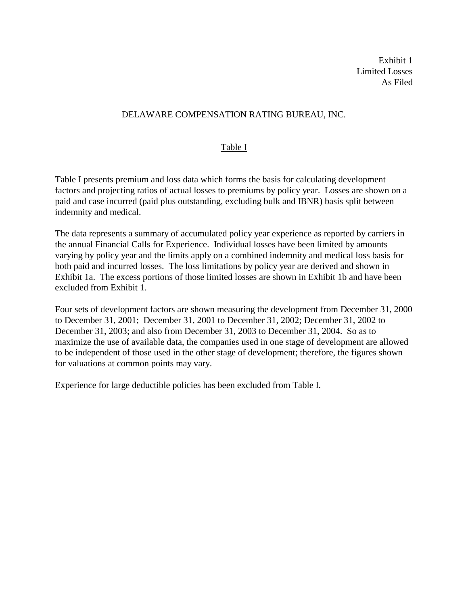Exhibit 1 Limited Losses As Filed

# DELAWARE COMPENSATION RATING BUREAU, INC.

# Table I

Table I presents premium and loss data which forms the basis for calculating development factors and projecting ratios of actual losses to premiums by policy year. Losses are shown on a paid and case incurred (paid plus outstanding, excluding bulk and IBNR) basis split between indemnity and medical.

The data represents a summary of accumulated policy year experience as reported by carriers in the annual Financial Calls for Experience. Individual losses have been limited by amounts varying by policy year and the limits apply on a combined indemnity and medical loss basis for both paid and incurred losses. The loss limitations by policy year are derived and shown in Exhibit 1a. The excess portions of those limited losses are shown in Exhibit 1b and have been excluded from Exhibit 1.

Four sets of development factors are shown measuring the development from December 31, 2000 to December 31, 2001; December 31, 2001 to December 31, 2002; December 31, 2002 to December 31, 2003; and also from December 31, 2003 to December 31, 2004. So as to maximize the use of available data, the companies used in one stage of development are allowed to be independent of those used in the other stage of development; therefore, the figures shown for valuations at common points may vary.

Experience for large deductible policies has been excluded from Table I.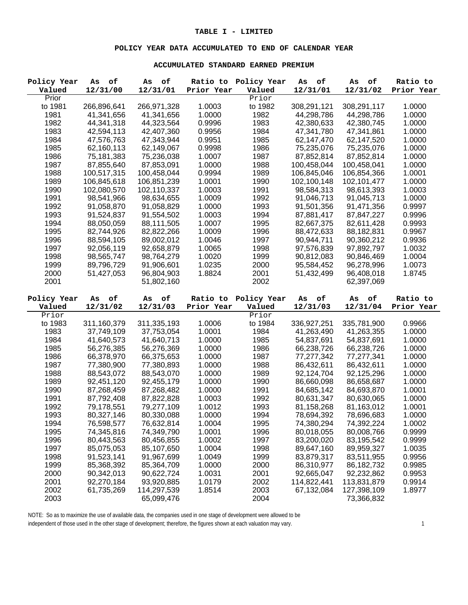## **TABLE I - LIMITED**

# **POLICY YEAR DATA ACCUMULATED TO END OF CALENDAR YEAR**

#### **ACCUMULATED STANDARD EARNED PREMIUM**

| 12/31/00<br>12/31/01<br>12/31/01<br>12/31/02<br>Valued<br>Prior Year<br>Valued<br>Prior Year<br>Prior<br>Prior<br>to 1981<br>266,896,641<br>266,971,328<br>1.0003<br>to 1982<br>308,291,121<br>308,291,117<br>1.0000<br>1981<br>1.0000<br>1982<br>1.0000<br>41,341,656<br>41,341,656<br>44,298,786<br>44,298,786<br>1982<br>1983<br>1.0000<br>44,341,318<br>44,323,564<br>0.9996<br>42,380,633<br>42,380,745<br>1983<br>1984<br>42,594,113<br>42,407,360<br>0.9956<br>47,341,780<br>47,341,861<br>1.0000<br>1984<br>0.9951<br>1985<br>1.0000<br>47,576,763<br>47,343,944<br>62,147,470<br>62,147,520<br>1985<br>1986<br>0.9998<br>1.0000<br>62,160,113<br>62,149,067<br>75,235,076<br>75,235,076<br>1986<br>1.0007<br>1987<br>1.0000<br>75,181,383<br>75,236,038<br>87,852,814<br>87,852,814<br>1988<br>1987<br>1.0000<br>1.0000<br>87,855,640<br>87,853,091<br>100,458,044<br>100,458,041<br>1988<br>100,517,315<br>1989<br>1.0001<br>100,458,044<br>0.9994<br>106,845,046<br>106,854,366<br>1989<br>1990<br>106,845,618<br>106,851,239<br>1.0001<br>102,100,148<br>102,101,477<br>1.0000<br>1991<br>1990<br>102,110,337<br>1.0003<br>1.0003<br>102,080,570<br>98,584,313<br>98,613,393<br>1991<br>1992<br>1.0000<br>98,541,966<br>98,634,655<br>1.0009<br>91,046,713<br>91,045,713<br>1992<br>1.0000<br>1993<br>0.9997<br>91,471,356<br>91,058,870<br>91,058,829<br>91,501,356<br>1993<br>1994<br>0.9996<br>91,524,837<br>1.0003<br>87,881,417<br>91,554,502<br>87,847,227<br>1994<br>1995<br>88,050,059<br>88,111,505<br>1.0007<br>82,667,375<br>82,611,428<br>0.9993<br>1995<br>1.0009<br>1996<br>0.9967<br>82,744,926<br>82,822,266<br>88,472,633<br>88,182,831<br>1997<br>1996<br>1.0046<br>0.9936<br>88,594,105<br>89,002,012<br>90,944,711<br>90,360,212<br>1997<br>1.0065<br>1998<br>97,892,797<br>1.0032<br>92,056,119<br>92,658,879<br>97,576,839<br>1998<br>1.0020<br>1999<br>1.0004<br>98,565,747<br>90,812,083<br>90,846,469<br>98,764,279<br>1999<br>1.0235<br>1.0073<br>89,796,729<br>91,906,601<br>2000<br>95,584,452<br>96,278,996<br>1.8745<br>2000<br>51,427,053<br>96,804,903<br>1.8824<br>2001<br>96,408,018<br>51,432,499<br>2002<br>2001<br>51,802,160<br>62,397,069<br>Policy Year<br>Ratio to<br>Policy Year<br>Ratio to<br>of<br>оf<br>оf<br>оf<br>As<br>As<br>As<br>As<br>12/31/02<br>12/31/03<br>Prior Year<br>12/31/03<br>12/31/04<br>Prior Year<br>Valued<br>Valued<br>Prior<br>Prior<br>to 1983<br>311,160,379<br>311,335,193<br>1.0006<br>to 1984<br>336,927,251<br>335,781,900<br>0.9966<br>1983<br>37,749,109<br>1.0001<br>1984<br>1.0000<br>37,753,054<br>41,263,490<br>41,263,355<br>1984<br>1985<br>41,640,573<br>1.0000<br>1.0000<br>41,640,713<br>54,837,691<br>54,837,691<br>1985<br>1986<br>1.0000<br>56,276,385<br>56,276,369<br>1.0000<br>66,238,726<br>66,238,726<br>1986<br>1987<br>66,378,970<br>66,375,653<br>1.0000<br>77,277,342<br>77,277,341<br>1.0000<br>1987<br>1988<br>1.0000<br>77,380,900<br>77,380,893<br>1.0000<br>86,432,611<br>86,432,611<br>1988<br>1.0000<br>1989<br>1.0000<br>88,543,072<br>88,543,070<br>92,124,704<br>92,125,296<br>1989<br>1.0000<br>1990<br>1.0000<br>92,451,120<br>92,455,179<br>86,660,098<br>86,658,687<br>1990<br>1991<br>1.0001<br>1.0000<br>84,693,870<br>87,268,459<br>87,268,482<br>84,685,142<br>1992<br>1.0000<br>1991<br>1.0003<br>80,631,347<br>80,630,065<br>87,792,408<br>87,822,828<br>1992<br>1993<br>1.0001<br>79,178,551<br>79,277,109<br>1.0012<br>81,158,268<br>81,163,012<br>1993<br>1.0000<br>80,327,146<br>80,330,088<br>1.0000<br>1994<br>78,694,392<br>78,696,683<br>1994<br>76,598,577<br>76,632,814<br>1.0004<br>1995<br>74,380,294<br>74,392,224<br>1.0002<br>1995<br>1.0001<br>1996<br>0.9999<br>74,345,816<br>74,349,790<br>80,018,055<br>80,008,766<br>1996<br>1.0002<br>1997<br>80,443,563<br>80,456,855<br>83,200,020<br>83,195,542<br>0.9999<br>1997<br>85,075,053<br>85,107,650<br>1.0004<br>1998<br>89,647,160<br>89,959,327<br>1.0035<br>1998<br>91,523,141<br>91,967,699<br>1.0049<br>1999<br>83,879,317<br>83,511,955<br>0.9956<br>1999<br>1.0000<br>2000<br>86,310,977<br>86,182,732<br>0.9985<br>85,368,392<br>85,364,709<br>2000<br>1.0031<br>2001<br>90,342,013<br>90,622,724<br>92,665,047<br>92,232,862<br>0.9953<br>2002<br>2001<br>93,920,885<br>1.0179<br>114,822,441<br>113,831,879<br>0.9914<br>92,270,184<br>2002<br>61,735,269<br>114,297,539<br>1.8514<br>2003<br>67,132,084<br>127,398,109<br>1.8977<br>2003<br>2004<br>65,099,476<br>73,366,832 | Policy Year | of<br>As | of<br>As | Ratio to Policy Year | оf<br>As | As<br>оf | Ratio to |
|--------------------------------------------------------------------------------------------------------------------------------------------------------------------------------------------------------------------------------------------------------------------------------------------------------------------------------------------------------------------------------------------------------------------------------------------------------------------------------------------------------------------------------------------------------------------------------------------------------------------------------------------------------------------------------------------------------------------------------------------------------------------------------------------------------------------------------------------------------------------------------------------------------------------------------------------------------------------------------------------------------------------------------------------------------------------------------------------------------------------------------------------------------------------------------------------------------------------------------------------------------------------------------------------------------------------------------------------------------------------------------------------------------------------------------------------------------------------------------------------------------------------------------------------------------------------------------------------------------------------------------------------------------------------------------------------------------------------------------------------------------------------------------------------------------------------------------------------------------------------------------------------------------------------------------------------------------------------------------------------------------------------------------------------------------------------------------------------------------------------------------------------------------------------------------------------------------------------------------------------------------------------------------------------------------------------------------------------------------------------------------------------------------------------------------------------------------------------------------------------------------------------------------------------------------------------------------------------------------------------------------------------------------------------------------------------------------------------------------------------------------------------------------------------------------------------------------------------------------------------------------------------------------------------------------------------------------------------------------------------------------------------------------------------------------------------------------------------------------------------------------------------------------------------------------------------------------------------------------------------------------------------------------------------------------------------------------------------------------------------------------------------------------------------------------------------------------------------------------------------------------------------------------------------------------------------------------------------------------------------------------------------------------------------------------------------------------------------------------------------------------------------------------------------------------------------------------------------------------------------------------------------------------------------------------------------------------------------------------------------------------------------------------------------------------------------------------------------------------------------------------------------------------------------------------------------------------------------------------------------------------------------------------------------------------------------------------------------------------------------------------------------------------------------------------------------------------------------------------------------|-------------|----------|----------|----------------------|----------|----------|----------|
|                                                                                                                                                                                                                                                                                                                                                                                                                                                                                                                                                                                                                                                                                                                                                                                                                                                                                                                                                                                                                                                                                                                                                                                                                                                                                                                                                                                                                                                                                                                                                                                                                                                                                                                                                                                                                                                                                                                                                                                                                                                                                                                                                                                                                                                                                                                                                                                                                                                                                                                                                                                                                                                                                                                                                                                                                                                                                                                                                                                                                                                                                                                                                                                                                                                                                                                                                                                                                                                                                                                                                                                                                                                                                                                                                                                                                                                                                                                                                                                                                                                                                                                                                                                                                                                                                                                                                                                                                                                                                            |             |          |          |                      |          |          |          |
|                                                                                                                                                                                                                                                                                                                                                                                                                                                                                                                                                                                                                                                                                                                                                                                                                                                                                                                                                                                                                                                                                                                                                                                                                                                                                                                                                                                                                                                                                                                                                                                                                                                                                                                                                                                                                                                                                                                                                                                                                                                                                                                                                                                                                                                                                                                                                                                                                                                                                                                                                                                                                                                                                                                                                                                                                                                                                                                                                                                                                                                                                                                                                                                                                                                                                                                                                                                                                                                                                                                                                                                                                                                                                                                                                                                                                                                                                                                                                                                                                                                                                                                                                                                                                                                                                                                                                                                                                                                                                            |             |          |          |                      |          |          |          |
|                                                                                                                                                                                                                                                                                                                                                                                                                                                                                                                                                                                                                                                                                                                                                                                                                                                                                                                                                                                                                                                                                                                                                                                                                                                                                                                                                                                                                                                                                                                                                                                                                                                                                                                                                                                                                                                                                                                                                                                                                                                                                                                                                                                                                                                                                                                                                                                                                                                                                                                                                                                                                                                                                                                                                                                                                                                                                                                                                                                                                                                                                                                                                                                                                                                                                                                                                                                                                                                                                                                                                                                                                                                                                                                                                                                                                                                                                                                                                                                                                                                                                                                                                                                                                                                                                                                                                                                                                                                                                            |             |          |          |                      |          |          |          |
|                                                                                                                                                                                                                                                                                                                                                                                                                                                                                                                                                                                                                                                                                                                                                                                                                                                                                                                                                                                                                                                                                                                                                                                                                                                                                                                                                                                                                                                                                                                                                                                                                                                                                                                                                                                                                                                                                                                                                                                                                                                                                                                                                                                                                                                                                                                                                                                                                                                                                                                                                                                                                                                                                                                                                                                                                                                                                                                                                                                                                                                                                                                                                                                                                                                                                                                                                                                                                                                                                                                                                                                                                                                                                                                                                                                                                                                                                                                                                                                                                                                                                                                                                                                                                                                                                                                                                                                                                                                                                            |             |          |          |                      |          |          |          |
|                                                                                                                                                                                                                                                                                                                                                                                                                                                                                                                                                                                                                                                                                                                                                                                                                                                                                                                                                                                                                                                                                                                                                                                                                                                                                                                                                                                                                                                                                                                                                                                                                                                                                                                                                                                                                                                                                                                                                                                                                                                                                                                                                                                                                                                                                                                                                                                                                                                                                                                                                                                                                                                                                                                                                                                                                                                                                                                                                                                                                                                                                                                                                                                                                                                                                                                                                                                                                                                                                                                                                                                                                                                                                                                                                                                                                                                                                                                                                                                                                                                                                                                                                                                                                                                                                                                                                                                                                                                                                            |             |          |          |                      |          |          |          |
|                                                                                                                                                                                                                                                                                                                                                                                                                                                                                                                                                                                                                                                                                                                                                                                                                                                                                                                                                                                                                                                                                                                                                                                                                                                                                                                                                                                                                                                                                                                                                                                                                                                                                                                                                                                                                                                                                                                                                                                                                                                                                                                                                                                                                                                                                                                                                                                                                                                                                                                                                                                                                                                                                                                                                                                                                                                                                                                                                                                                                                                                                                                                                                                                                                                                                                                                                                                                                                                                                                                                                                                                                                                                                                                                                                                                                                                                                                                                                                                                                                                                                                                                                                                                                                                                                                                                                                                                                                                                                            |             |          |          |                      |          |          |          |
|                                                                                                                                                                                                                                                                                                                                                                                                                                                                                                                                                                                                                                                                                                                                                                                                                                                                                                                                                                                                                                                                                                                                                                                                                                                                                                                                                                                                                                                                                                                                                                                                                                                                                                                                                                                                                                                                                                                                                                                                                                                                                                                                                                                                                                                                                                                                                                                                                                                                                                                                                                                                                                                                                                                                                                                                                                                                                                                                                                                                                                                                                                                                                                                                                                                                                                                                                                                                                                                                                                                                                                                                                                                                                                                                                                                                                                                                                                                                                                                                                                                                                                                                                                                                                                                                                                                                                                                                                                                                                            |             |          |          |                      |          |          |          |
|                                                                                                                                                                                                                                                                                                                                                                                                                                                                                                                                                                                                                                                                                                                                                                                                                                                                                                                                                                                                                                                                                                                                                                                                                                                                                                                                                                                                                                                                                                                                                                                                                                                                                                                                                                                                                                                                                                                                                                                                                                                                                                                                                                                                                                                                                                                                                                                                                                                                                                                                                                                                                                                                                                                                                                                                                                                                                                                                                                                                                                                                                                                                                                                                                                                                                                                                                                                                                                                                                                                                                                                                                                                                                                                                                                                                                                                                                                                                                                                                                                                                                                                                                                                                                                                                                                                                                                                                                                                                                            |             |          |          |                      |          |          |          |
|                                                                                                                                                                                                                                                                                                                                                                                                                                                                                                                                                                                                                                                                                                                                                                                                                                                                                                                                                                                                                                                                                                                                                                                                                                                                                                                                                                                                                                                                                                                                                                                                                                                                                                                                                                                                                                                                                                                                                                                                                                                                                                                                                                                                                                                                                                                                                                                                                                                                                                                                                                                                                                                                                                                                                                                                                                                                                                                                                                                                                                                                                                                                                                                                                                                                                                                                                                                                                                                                                                                                                                                                                                                                                                                                                                                                                                                                                                                                                                                                                                                                                                                                                                                                                                                                                                                                                                                                                                                                                            |             |          |          |                      |          |          |          |
|                                                                                                                                                                                                                                                                                                                                                                                                                                                                                                                                                                                                                                                                                                                                                                                                                                                                                                                                                                                                                                                                                                                                                                                                                                                                                                                                                                                                                                                                                                                                                                                                                                                                                                                                                                                                                                                                                                                                                                                                                                                                                                                                                                                                                                                                                                                                                                                                                                                                                                                                                                                                                                                                                                                                                                                                                                                                                                                                                                                                                                                                                                                                                                                                                                                                                                                                                                                                                                                                                                                                                                                                                                                                                                                                                                                                                                                                                                                                                                                                                                                                                                                                                                                                                                                                                                                                                                                                                                                                                            |             |          |          |                      |          |          |          |
|                                                                                                                                                                                                                                                                                                                                                                                                                                                                                                                                                                                                                                                                                                                                                                                                                                                                                                                                                                                                                                                                                                                                                                                                                                                                                                                                                                                                                                                                                                                                                                                                                                                                                                                                                                                                                                                                                                                                                                                                                                                                                                                                                                                                                                                                                                                                                                                                                                                                                                                                                                                                                                                                                                                                                                                                                                                                                                                                                                                                                                                                                                                                                                                                                                                                                                                                                                                                                                                                                                                                                                                                                                                                                                                                                                                                                                                                                                                                                                                                                                                                                                                                                                                                                                                                                                                                                                                                                                                                                            |             |          |          |                      |          |          |          |
|                                                                                                                                                                                                                                                                                                                                                                                                                                                                                                                                                                                                                                                                                                                                                                                                                                                                                                                                                                                                                                                                                                                                                                                                                                                                                                                                                                                                                                                                                                                                                                                                                                                                                                                                                                                                                                                                                                                                                                                                                                                                                                                                                                                                                                                                                                                                                                                                                                                                                                                                                                                                                                                                                                                                                                                                                                                                                                                                                                                                                                                                                                                                                                                                                                                                                                                                                                                                                                                                                                                                                                                                                                                                                                                                                                                                                                                                                                                                                                                                                                                                                                                                                                                                                                                                                                                                                                                                                                                                                            |             |          |          |                      |          |          |          |
|                                                                                                                                                                                                                                                                                                                                                                                                                                                                                                                                                                                                                                                                                                                                                                                                                                                                                                                                                                                                                                                                                                                                                                                                                                                                                                                                                                                                                                                                                                                                                                                                                                                                                                                                                                                                                                                                                                                                                                                                                                                                                                                                                                                                                                                                                                                                                                                                                                                                                                                                                                                                                                                                                                                                                                                                                                                                                                                                                                                                                                                                                                                                                                                                                                                                                                                                                                                                                                                                                                                                                                                                                                                                                                                                                                                                                                                                                                                                                                                                                                                                                                                                                                                                                                                                                                                                                                                                                                                                                            |             |          |          |                      |          |          |          |
|                                                                                                                                                                                                                                                                                                                                                                                                                                                                                                                                                                                                                                                                                                                                                                                                                                                                                                                                                                                                                                                                                                                                                                                                                                                                                                                                                                                                                                                                                                                                                                                                                                                                                                                                                                                                                                                                                                                                                                                                                                                                                                                                                                                                                                                                                                                                                                                                                                                                                                                                                                                                                                                                                                                                                                                                                                                                                                                                                                                                                                                                                                                                                                                                                                                                                                                                                                                                                                                                                                                                                                                                                                                                                                                                                                                                                                                                                                                                                                                                                                                                                                                                                                                                                                                                                                                                                                                                                                                                                            |             |          |          |                      |          |          |          |
|                                                                                                                                                                                                                                                                                                                                                                                                                                                                                                                                                                                                                                                                                                                                                                                                                                                                                                                                                                                                                                                                                                                                                                                                                                                                                                                                                                                                                                                                                                                                                                                                                                                                                                                                                                                                                                                                                                                                                                                                                                                                                                                                                                                                                                                                                                                                                                                                                                                                                                                                                                                                                                                                                                                                                                                                                                                                                                                                                                                                                                                                                                                                                                                                                                                                                                                                                                                                                                                                                                                                                                                                                                                                                                                                                                                                                                                                                                                                                                                                                                                                                                                                                                                                                                                                                                                                                                                                                                                                                            |             |          |          |                      |          |          |          |
|                                                                                                                                                                                                                                                                                                                                                                                                                                                                                                                                                                                                                                                                                                                                                                                                                                                                                                                                                                                                                                                                                                                                                                                                                                                                                                                                                                                                                                                                                                                                                                                                                                                                                                                                                                                                                                                                                                                                                                                                                                                                                                                                                                                                                                                                                                                                                                                                                                                                                                                                                                                                                                                                                                                                                                                                                                                                                                                                                                                                                                                                                                                                                                                                                                                                                                                                                                                                                                                                                                                                                                                                                                                                                                                                                                                                                                                                                                                                                                                                                                                                                                                                                                                                                                                                                                                                                                                                                                                                                            |             |          |          |                      |          |          |          |
|                                                                                                                                                                                                                                                                                                                                                                                                                                                                                                                                                                                                                                                                                                                                                                                                                                                                                                                                                                                                                                                                                                                                                                                                                                                                                                                                                                                                                                                                                                                                                                                                                                                                                                                                                                                                                                                                                                                                                                                                                                                                                                                                                                                                                                                                                                                                                                                                                                                                                                                                                                                                                                                                                                                                                                                                                                                                                                                                                                                                                                                                                                                                                                                                                                                                                                                                                                                                                                                                                                                                                                                                                                                                                                                                                                                                                                                                                                                                                                                                                                                                                                                                                                                                                                                                                                                                                                                                                                                                                            |             |          |          |                      |          |          |          |
|                                                                                                                                                                                                                                                                                                                                                                                                                                                                                                                                                                                                                                                                                                                                                                                                                                                                                                                                                                                                                                                                                                                                                                                                                                                                                                                                                                                                                                                                                                                                                                                                                                                                                                                                                                                                                                                                                                                                                                                                                                                                                                                                                                                                                                                                                                                                                                                                                                                                                                                                                                                                                                                                                                                                                                                                                                                                                                                                                                                                                                                                                                                                                                                                                                                                                                                                                                                                                                                                                                                                                                                                                                                                                                                                                                                                                                                                                                                                                                                                                                                                                                                                                                                                                                                                                                                                                                                                                                                                                            |             |          |          |                      |          |          |          |
|                                                                                                                                                                                                                                                                                                                                                                                                                                                                                                                                                                                                                                                                                                                                                                                                                                                                                                                                                                                                                                                                                                                                                                                                                                                                                                                                                                                                                                                                                                                                                                                                                                                                                                                                                                                                                                                                                                                                                                                                                                                                                                                                                                                                                                                                                                                                                                                                                                                                                                                                                                                                                                                                                                                                                                                                                                                                                                                                                                                                                                                                                                                                                                                                                                                                                                                                                                                                                                                                                                                                                                                                                                                                                                                                                                                                                                                                                                                                                                                                                                                                                                                                                                                                                                                                                                                                                                                                                                                                                            |             |          |          |                      |          |          |          |
|                                                                                                                                                                                                                                                                                                                                                                                                                                                                                                                                                                                                                                                                                                                                                                                                                                                                                                                                                                                                                                                                                                                                                                                                                                                                                                                                                                                                                                                                                                                                                                                                                                                                                                                                                                                                                                                                                                                                                                                                                                                                                                                                                                                                                                                                                                                                                                                                                                                                                                                                                                                                                                                                                                                                                                                                                                                                                                                                                                                                                                                                                                                                                                                                                                                                                                                                                                                                                                                                                                                                                                                                                                                                                                                                                                                                                                                                                                                                                                                                                                                                                                                                                                                                                                                                                                                                                                                                                                                                                            |             |          |          |                      |          |          |          |
|                                                                                                                                                                                                                                                                                                                                                                                                                                                                                                                                                                                                                                                                                                                                                                                                                                                                                                                                                                                                                                                                                                                                                                                                                                                                                                                                                                                                                                                                                                                                                                                                                                                                                                                                                                                                                                                                                                                                                                                                                                                                                                                                                                                                                                                                                                                                                                                                                                                                                                                                                                                                                                                                                                                                                                                                                                                                                                                                                                                                                                                                                                                                                                                                                                                                                                                                                                                                                                                                                                                                                                                                                                                                                                                                                                                                                                                                                                                                                                                                                                                                                                                                                                                                                                                                                                                                                                                                                                                                                            |             |          |          |                      |          |          |          |
|                                                                                                                                                                                                                                                                                                                                                                                                                                                                                                                                                                                                                                                                                                                                                                                                                                                                                                                                                                                                                                                                                                                                                                                                                                                                                                                                                                                                                                                                                                                                                                                                                                                                                                                                                                                                                                                                                                                                                                                                                                                                                                                                                                                                                                                                                                                                                                                                                                                                                                                                                                                                                                                                                                                                                                                                                                                                                                                                                                                                                                                                                                                                                                                                                                                                                                                                                                                                                                                                                                                                                                                                                                                                                                                                                                                                                                                                                                                                                                                                                                                                                                                                                                                                                                                                                                                                                                                                                                                                                            |             |          |          |                      |          |          |          |
|                                                                                                                                                                                                                                                                                                                                                                                                                                                                                                                                                                                                                                                                                                                                                                                                                                                                                                                                                                                                                                                                                                                                                                                                                                                                                                                                                                                                                                                                                                                                                                                                                                                                                                                                                                                                                                                                                                                                                                                                                                                                                                                                                                                                                                                                                                                                                                                                                                                                                                                                                                                                                                                                                                                                                                                                                                                                                                                                                                                                                                                                                                                                                                                                                                                                                                                                                                                                                                                                                                                                                                                                                                                                                                                                                                                                                                                                                                                                                                                                                                                                                                                                                                                                                                                                                                                                                                                                                                                                                            |             |          |          |                      |          |          |          |
|                                                                                                                                                                                                                                                                                                                                                                                                                                                                                                                                                                                                                                                                                                                                                                                                                                                                                                                                                                                                                                                                                                                                                                                                                                                                                                                                                                                                                                                                                                                                                                                                                                                                                                                                                                                                                                                                                                                                                                                                                                                                                                                                                                                                                                                                                                                                                                                                                                                                                                                                                                                                                                                                                                                                                                                                                                                                                                                                                                                                                                                                                                                                                                                                                                                                                                                                                                                                                                                                                                                                                                                                                                                                                                                                                                                                                                                                                                                                                                                                                                                                                                                                                                                                                                                                                                                                                                                                                                                                                            |             |          |          |                      |          |          |          |
|                                                                                                                                                                                                                                                                                                                                                                                                                                                                                                                                                                                                                                                                                                                                                                                                                                                                                                                                                                                                                                                                                                                                                                                                                                                                                                                                                                                                                                                                                                                                                                                                                                                                                                                                                                                                                                                                                                                                                                                                                                                                                                                                                                                                                                                                                                                                                                                                                                                                                                                                                                                                                                                                                                                                                                                                                                                                                                                                                                                                                                                                                                                                                                                                                                                                                                                                                                                                                                                                                                                                                                                                                                                                                                                                                                                                                                                                                                                                                                                                                                                                                                                                                                                                                                                                                                                                                                                                                                                                                            |             |          |          |                      |          |          |          |
|                                                                                                                                                                                                                                                                                                                                                                                                                                                                                                                                                                                                                                                                                                                                                                                                                                                                                                                                                                                                                                                                                                                                                                                                                                                                                                                                                                                                                                                                                                                                                                                                                                                                                                                                                                                                                                                                                                                                                                                                                                                                                                                                                                                                                                                                                                                                                                                                                                                                                                                                                                                                                                                                                                                                                                                                                                                                                                                                                                                                                                                                                                                                                                                                                                                                                                                                                                                                                                                                                                                                                                                                                                                                                                                                                                                                                                                                                                                                                                                                                                                                                                                                                                                                                                                                                                                                                                                                                                                                                            |             |          |          |                      |          |          |          |
|                                                                                                                                                                                                                                                                                                                                                                                                                                                                                                                                                                                                                                                                                                                                                                                                                                                                                                                                                                                                                                                                                                                                                                                                                                                                                                                                                                                                                                                                                                                                                                                                                                                                                                                                                                                                                                                                                                                                                                                                                                                                                                                                                                                                                                                                                                                                                                                                                                                                                                                                                                                                                                                                                                                                                                                                                                                                                                                                                                                                                                                                                                                                                                                                                                                                                                                                                                                                                                                                                                                                                                                                                                                                                                                                                                                                                                                                                                                                                                                                                                                                                                                                                                                                                                                                                                                                                                                                                                                                                            |             |          |          |                      |          |          |          |
|                                                                                                                                                                                                                                                                                                                                                                                                                                                                                                                                                                                                                                                                                                                                                                                                                                                                                                                                                                                                                                                                                                                                                                                                                                                                                                                                                                                                                                                                                                                                                                                                                                                                                                                                                                                                                                                                                                                                                                                                                                                                                                                                                                                                                                                                                                                                                                                                                                                                                                                                                                                                                                                                                                                                                                                                                                                                                                                                                                                                                                                                                                                                                                                                                                                                                                                                                                                                                                                                                                                                                                                                                                                                                                                                                                                                                                                                                                                                                                                                                                                                                                                                                                                                                                                                                                                                                                                                                                                                                            |             |          |          |                      |          |          |          |
|                                                                                                                                                                                                                                                                                                                                                                                                                                                                                                                                                                                                                                                                                                                                                                                                                                                                                                                                                                                                                                                                                                                                                                                                                                                                                                                                                                                                                                                                                                                                                                                                                                                                                                                                                                                                                                                                                                                                                                                                                                                                                                                                                                                                                                                                                                                                                                                                                                                                                                                                                                                                                                                                                                                                                                                                                                                                                                                                                                                                                                                                                                                                                                                                                                                                                                                                                                                                                                                                                                                                                                                                                                                                                                                                                                                                                                                                                                                                                                                                                                                                                                                                                                                                                                                                                                                                                                                                                                                                                            |             |          |          |                      |          |          |          |
|                                                                                                                                                                                                                                                                                                                                                                                                                                                                                                                                                                                                                                                                                                                                                                                                                                                                                                                                                                                                                                                                                                                                                                                                                                                                                                                                                                                                                                                                                                                                                                                                                                                                                                                                                                                                                                                                                                                                                                                                                                                                                                                                                                                                                                                                                                                                                                                                                                                                                                                                                                                                                                                                                                                                                                                                                                                                                                                                                                                                                                                                                                                                                                                                                                                                                                                                                                                                                                                                                                                                                                                                                                                                                                                                                                                                                                                                                                                                                                                                                                                                                                                                                                                                                                                                                                                                                                                                                                                                                            |             |          |          |                      |          |          |          |
|                                                                                                                                                                                                                                                                                                                                                                                                                                                                                                                                                                                                                                                                                                                                                                                                                                                                                                                                                                                                                                                                                                                                                                                                                                                                                                                                                                                                                                                                                                                                                                                                                                                                                                                                                                                                                                                                                                                                                                                                                                                                                                                                                                                                                                                                                                                                                                                                                                                                                                                                                                                                                                                                                                                                                                                                                                                                                                                                                                                                                                                                                                                                                                                                                                                                                                                                                                                                                                                                                                                                                                                                                                                                                                                                                                                                                                                                                                                                                                                                                                                                                                                                                                                                                                                                                                                                                                                                                                                                                            |             |          |          |                      |          |          |          |
|                                                                                                                                                                                                                                                                                                                                                                                                                                                                                                                                                                                                                                                                                                                                                                                                                                                                                                                                                                                                                                                                                                                                                                                                                                                                                                                                                                                                                                                                                                                                                                                                                                                                                                                                                                                                                                                                                                                                                                                                                                                                                                                                                                                                                                                                                                                                                                                                                                                                                                                                                                                                                                                                                                                                                                                                                                                                                                                                                                                                                                                                                                                                                                                                                                                                                                                                                                                                                                                                                                                                                                                                                                                                                                                                                                                                                                                                                                                                                                                                                                                                                                                                                                                                                                                                                                                                                                                                                                                                                            |             |          |          |                      |          |          |          |
|                                                                                                                                                                                                                                                                                                                                                                                                                                                                                                                                                                                                                                                                                                                                                                                                                                                                                                                                                                                                                                                                                                                                                                                                                                                                                                                                                                                                                                                                                                                                                                                                                                                                                                                                                                                                                                                                                                                                                                                                                                                                                                                                                                                                                                                                                                                                                                                                                                                                                                                                                                                                                                                                                                                                                                                                                                                                                                                                                                                                                                                                                                                                                                                                                                                                                                                                                                                                                                                                                                                                                                                                                                                                                                                                                                                                                                                                                                                                                                                                                                                                                                                                                                                                                                                                                                                                                                                                                                                                                            |             |          |          |                      |          |          |          |
|                                                                                                                                                                                                                                                                                                                                                                                                                                                                                                                                                                                                                                                                                                                                                                                                                                                                                                                                                                                                                                                                                                                                                                                                                                                                                                                                                                                                                                                                                                                                                                                                                                                                                                                                                                                                                                                                                                                                                                                                                                                                                                                                                                                                                                                                                                                                                                                                                                                                                                                                                                                                                                                                                                                                                                                                                                                                                                                                                                                                                                                                                                                                                                                                                                                                                                                                                                                                                                                                                                                                                                                                                                                                                                                                                                                                                                                                                                                                                                                                                                                                                                                                                                                                                                                                                                                                                                                                                                                                                            |             |          |          |                      |          |          |          |
|                                                                                                                                                                                                                                                                                                                                                                                                                                                                                                                                                                                                                                                                                                                                                                                                                                                                                                                                                                                                                                                                                                                                                                                                                                                                                                                                                                                                                                                                                                                                                                                                                                                                                                                                                                                                                                                                                                                                                                                                                                                                                                                                                                                                                                                                                                                                                                                                                                                                                                                                                                                                                                                                                                                                                                                                                                                                                                                                                                                                                                                                                                                                                                                                                                                                                                                                                                                                                                                                                                                                                                                                                                                                                                                                                                                                                                                                                                                                                                                                                                                                                                                                                                                                                                                                                                                                                                                                                                                                                            |             |          |          |                      |          |          |          |
|                                                                                                                                                                                                                                                                                                                                                                                                                                                                                                                                                                                                                                                                                                                                                                                                                                                                                                                                                                                                                                                                                                                                                                                                                                                                                                                                                                                                                                                                                                                                                                                                                                                                                                                                                                                                                                                                                                                                                                                                                                                                                                                                                                                                                                                                                                                                                                                                                                                                                                                                                                                                                                                                                                                                                                                                                                                                                                                                                                                                                                                                                                                                                                                                                                                                                                                                                                                                                                                                                                                                                                                                                                                                                                                                                                                                                                                                                                                                                                                                                                                                                                                                                                                                                                                                                                                                                                                                                                                                                            |             |          |          |                      |          |          |          |
|                                                                                                                                                                                                                                                                                                                                                                                                                                                                                                                                                                                                                                                                                                                                                                                                                                                                                                                                                                                                                                                                                                                                                                                                                                                                                                                                                                                                                                                                                                                                                                                                                                                                                                                                                                                                                                                                                                                                                                                                                                                                                                                                                                                                                                                                                                                                                                                                                                                                                                                                                                                                                                                                                                                                                                                                                                                                                                                                                                                                                                                                                                                                                                                                                                                                                                                                                                                                                                                                                                                                                                                                                                                                                                                                                                                                                                                                                                                                                                                                                                                                                                                                                                                                                                                                                                                                                                                                                                                                                            |             |          |          |                      |          |          |          |
|                                                                                                                                                                                                                                                                                                                                                                                                                                                                                                                                                                                                                                                                                                                                                                                                                                                                                                                                                                                                                                                                                                                                                                                                                                                                                                                                                                                                                                                                                                                                                                                                                                                                                                                                                                                                                                                                                                                                                                                                                                                                                                                                                                                                                                                                                                                                                                                                                                                                                                                                                                                                                                                                                                                                                                                                                                                                                                                                                                                                                                                                                                                                                                                                                                                                                                                                                                                                                                                                                                                                                                                                                                                                                                                                                                                                                                                                                                                                                                                                                                                                                                                                                                                                                                                                                                                                                                                                                                                                                            |             |          |          |                      |          |          |          |
|                                                                                                                                                                                                                                                                                                                                                                                                                                                                                                                                                                                                                                                                                                                                                                                                                                                                                                                                                                                                                                                                                                                                                                                                                                                                                                                                                                                                                                                                                                                                                                                                                                                                                                                                                                                                                                                                                                                                                                                                                                                                                                                                                                                                                                                                                                                                                                                                                                                                                                                                                                                                                                                                                                                                                                                                                                                                                                                                                                                                                                                                                                                                                                                                                                                                                                                                                                                                                                                                                                                                                                                                                                                                                                                                                                                                                                                                                                                                                                                                                                                                                                                                                                                                                                                                                                                                                                                                                                                                                            |             |          |          |                      |          |          |          |
|                                                                                                                                                                                                                                                                                                                                                                                                                                                                                                                                                                                                                                                                                                                                                                                                                                                                                                                                                                                                                                                                                                                                                                                                                                                                                                                                                                                                                                                                                                                                                                                                                                                                                                                                                                                                                                                                                                                                                                                                                                                                                                                                                                                                                                                                                                                                                                                                                                                                                                                                                                                                                                                                                                                                                                                                                                                                                                                                                                                                                                                                                                                                                                                                                                                                                                                                                                                                                                                                                                                                                                                                                                                                                                                                                                                                                                                                                                                                                                                                                                                                                                                                                                                                                                                                                                                                                                                                                                                                                            |             |          |          |                      |          |          |          |
|                                                                                                                                                                                                                                                                                                                                                                                                                                                                                                                                                                                                                                                                                                                                                                                                                                                                                                                                                                                                                                                                                                                                                                                                                                                                                                                                                                                                                                                                                                                                                                                                                                                                                                                                                                                                                                                                                                                                                                                                                                                                                                                                                                                                                                                                                                                                                                                                                                                                                                                                                                                                                                                                                                                                                                                                                                                                                                                                                                                                                                                                                                                                                                                                                                                                                                                                                                                                                                                                                                                                                                                                                                                                                                                                                                                                                                                                                                                                                                                                                                                                                                                                                                                                                                                                                                                                                                                                                                                                                            |             |          |          |                      |          |          |          |
|                                                                                                                                                                                                                                                                                                                                                                                                                                                                                                                                                                                                                                                                                                                                                                                                                                                                                                                                                                                                                                                                                                                                                                                                                                                                                                                                                                                                                                                                                                                                                                                                                                                                                                                                                                                                                                                                                                                                                                                                                                                                                                                                                                                                                                                                                                                                                                                                                                                                                                                                                                                                                                                                                                                                                                                                                                                                                                                                                                                                                                                                                                                                                                                                                                                                                                                                                                                                                                                                                                                                                                                                                                                                                                                                                                                                                                                                                                                                                                                                                                                                                                                                                                                                                                                                                                                                                                                                                                                                                            |             |          |          |                      |          |          |          |
|                                                                                                                                                                                                                                                                                                                                                                                                                                                                                                                                                                                                                                                                                                                                                                                                                                                                                                                                                                                                                                                                                                                                                                                                                                                                                                                                                                                                                                                                                                                                                                                                                                                                                                                                                                                                                                                                                                                                                                                                                                                                                                                                                                                                                                                                                                                                                                                                                                                                                                                                                                                                                                                                                                                                                                                                                                                                                                                                                                                                                                                                                                                                                                                                                                                                                                                                                                                                                                                                                                                                                                                                                                                                                                                                                                                                                                                                                                                                                                                                                                                                                                                                                                                                                                                                                                                                                                                                                                                                                            |             |          |          |                      |          |          |          |
|                                                                                                                                                                                                                                                                                                                                                                                                                                                                                                                                                                                                                                                                                                                                                                                                                                                                                                                                                                                                                                                                                                                                                                                                                                                                                                                                                                                                                                                                                                                                                                                                                                                                                                                                                                                                                                                                                                                                                                                                                                                                                                                                                                                                                                                                                                                                                                                                                                                                                                                                                                                                                                                                                                                                                                                                                                                                                                                                                                                                                                                                                                                                                                                                                                                                                                                                                                                                                                                                                                                                                                                                                                                                                                                                                                                                                                                                                                                                                                                                                                                                                                                                                                                                                                                                                                                                                                                                                                                                                            |             |          |          |                      |          |          |          |
|                                                                                                                                                                                                                                                                                                                                                                                                                                                                                                                                                                                                                                                                                                                                                                                                                                                                                                                                                                                                                                                                                                                                                                                                                                                                                                                                                                                                                                                                                                                                                                                                                                                                                                                                                                                                                                                                                                                                                                                                                                                                                                                                                                                                                                                                                                                                                                                                                                                                                                                                                                                                                                                                                                                                                                                                                                                                                                                                                                                                                                                                                                                                                                                                                                                                                                                                                                                                                                                                                                                                                                                                                                                                                                                                                                                                                                                                                                                                                                                                                                                                                                                                                                                                                                                                                                                                                                                                                                                                                            |             |          |          |                      |          |          |          |
|                                                                                                                                                                                                                                                                                                                                                                                                                                                                                                                                                                                                                                                                                                                                                                                                                                                                                                                                                                                                                                                                                                                                                                                                                                                                                                                                                                                                                                                                                                                                                                                                                                                                                                                                                                                                                                                                                                                                                                                                                                                                                                                                                                                                                                                                                                                                                                                                                                                                                                                                                                                                                                                                                                                                                                                                                                                                                                                                                                                                                                                                                                                                                                                                                                                                                                                                                                                                                                                                                                                                                                                                                                                                                                                                                                                                                                                                                                                                                                                                                                                                                                                                                                                                                                                                                                                                                                                                                                                                                            |             |          |          |                      |          |          |          |
|                                                                                                                                                                                                                                                                                                                                                                                                                                                                                                                                                                                                                                                                                                                                                                                                                                                                                                                                                                                                                                                                                                                                                                                                                                                                                                                                                                                                                                                                                                                                                                                                                                                                                                                                                                                                                                                                                                                                                                                                                                                                                                                                                                                                                                                                                                                                                                                                                                                                                                                                                                                                                                                                                                                                                                                                                                                                                                                                                                                                                                                                                                                                                                                                                                                                                                                                                                                                                                                                                                                                                                                                                                                                                                                                                                                                                                                                                                                                                                                                                                                                                                                                                                                                                                                                                                                                                                                                                                                                                            |             |          |          |                      |          |          |          |
|                                                                                                                                                                                                                                                                                                                                                                                                                                                                                                                                                                                                                                                                                                                                                                                                                                                                                                                                                                                                                                                                                                                                                                                                                                                                                                                                                                                                                                                                                                                                                                                                                                                                                                                                                                                                                                                                                                                                                                                                                                                                                                                                                                                                                                                                                                                                                                                                                                                                                                                                                                                                                                                                                                                                                                                                                                                                                                                                                                                                                                                                                                                                                                                                                                                                                                                                                                                                                                                                                                                                                                                                                                                                                                                                                                                                                                                                                                                                                                                                                                                                                                                                                                                                                                                                                                                                                                                                                                                                                            |             |          |          |                      |          |          |          |
|                                                                                                                                                                                                                                                                                                                                                                                                                                                                                                                                                                                                                                                                                                                                                                                                                                                                                                                                                                                                                                                                                                                                                                                                                                                                                                                                                                                                                                                                                                                                                                                                                                                                                                                                                                                                                                                                                                                                                                                                                                                                                                                                                                                                                                                                                                                                                                                                                                                                                                                                                                                                                                                                                                                                                                                                                                                                                                                                                                                                                                                                                                                                                                                                                                                                                                                                                                                                                                                                                                                                                                                                                                                                                                                                                                                                                                                                                                                                                                                                                                                                                                                                                                                                                                                                                                                                                                                                                                                                                            |             |          |          |                      |          |          |          |
|                                                                                                                                                                                                                                                                                                                                                                                                                                                                                                                                                                                                                                                                                                                                                                                                                                                                                                                                                                                                                                                                                                                                                                                                                                                                                                                                                                                                                                                                                                                                                                                                                                                                                                                                                                                                                                                                                                                                                                                                                                                                                                                                                                                                                                                                                                                                                                                                                                                                                                                                                                                                                                                                                                                                                                                                                                                                                                                                                                                                                                                                                                                                                                                                                                                                                                                                                                                                                                                                                                                                                                                                                                                                                                                                                                                                                                                                                                                                                                                                                                                                                                                                                                                                                                                                                                                                                                                                                                                                                            |             |          |          |                      |          |          |          |

NOTE: So as to maximize the use of available data, the companies used in one stage of development were allowed to be independent of those used in the other stage of development; therefore, the figures shown at each valuation may vary.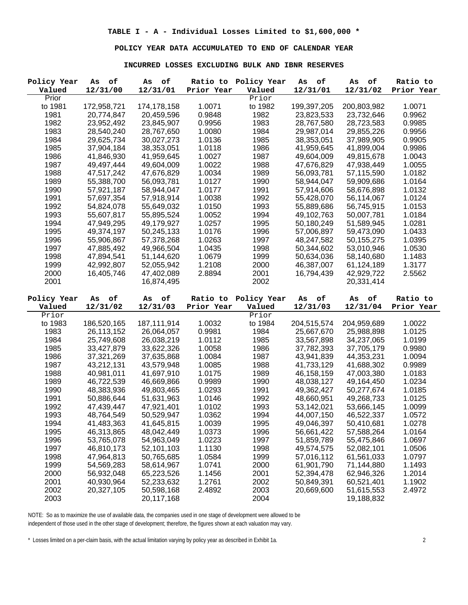### **INCURRED LOSSES EXCLUDING BULK AND IBNR RESERVES**

| Policy Year  | of<br>As                 | of<br>As                 | Ratio to         | Policy Year  | оf<br>As                 | оf<br>As                 | Ratio to         |
|--------------|--------------------------|--------------------------|------------------|--------------|--------------------------|--------------------------|------------------|
| Valued       | 12/31/00                 | 12/31/01                 | Prior Year       | Valued       | 12/31/01                 | 12/31/02                 | Prior Year       |
| Prior        |                          |                          |                  | Prior        |                          |                          |                  |
| to 1981      | 172,958,721              | 174,178,158              | 1.0071           | to 1982      | 199,397,205              | 200,803,982              | 1.0071           |
| 1981         | 20,774,847               | 20,459,596               | 0.9848           | 1982         | 23,823,533               | 23,732,646               | 0.9962           |
| 1982         | 23,952,492               | 23,845,907               | 0.9956           | 1983         | 28,767,580               | 28,723,583               | 0.9985           |
| 1983         | 28,540,240               | 28,767,650               | 1.0080           | 1984         | 29,987,014               | 29,855,226               | 0.9956           |
| 1984         | 29,625,734               | 30,027,273               | 1.0136           | 1985         | 38,353,051               | 37,989,905               | 0.9905           |
| 1985         | 37,904,184               | 38,353,051               | 1.0118           | 1986         | 41,959,645               | 41,899,004               | 0.9986           |
| 1986         | 41,846,930               | 41,959,645               | 1.0027           | 1987         | 49,604,009               | 49,815,678               | 1.0043           |
| 1987         | 49,497,444               | 49,604,009               | 1.0022           | 1988         | 47,676,829               | 47,938,449               | 1.0055           |
| 1988         | 47,517,242               | 47,676,829               | 1.0034           | 1989         | 56,093,781               | 57,115,590               | 1.0182           |
| 1989         | 55,388,700               | 56,093,781               | 1.0127           | 1990         | 58,944,047               | 59,909,686               | 1.0164           |
| 1990         | 57,921,187               | 58,944,047               | 1.0177           | 1991         | 57,914,606               | 58,676,898               | 1.0132           |
| 1991         | 57,697,354               | 57,918,914               | 1.0038           | 1992         | 55,428,070               | 56,114,067               | 1.0124           |
| 1992         | 54,824,078               | 55,649,032               | 1.0150           | 1993         | 55,889,686               | 56,745,915               | 1.0153           |
| 1993         | 55,607,817               | 55,895,524               | 1.0052           | 1994         | 49,102,763               | 50,007,781               | 1.0184           |
| 1994         | 47,949,295               | 49,179,927               | 1.0257           | 1995         | 50,180,249               | 51,589,945               | 1.0281           |
| 1995         | 49,374,197               | 50,245,133               | 1.0176           | 1996         | 57,006,897               | 59,473,090               | 1.0433           |
| 1996         | 55,906,867               | 57,378,268               | 1.0263           | 1997         | 48,247,582               | 50,155,275               | 1.0395           |
| 1997         | 47,885,492               | 49,966,504               | 1.0435           | 1998         | 50,344,602               | 53,010,946               | 1.0530           |
| 1998         | 47,894,541               | 51,144,620               | 1.0679           | 1999         | 50,634,036               | 58,140,680               | 1.1483           |
| 1999         | 42,992,807               | 52,055,942               | 1.2108           | 2000         | 46,387,007               | 61,124,189               | 1.3177           |
| 2000         | 16,405,746               | 47,402,089               | 2.8894           | 2001         | 16,794,439               | 42,929,722               | 2.5562           |
| 2001         |                          | 16,874,495               |                  | 2002         |                          | 20,331,414               |                  |
|              |                          |                          |                  |              |                          |                          |                  |
|              |                          |                          |                  |              |                          |                          |                  |
|              |                          |                          |                  |              |                          |                          |                  |
| Policy Year  | оf<br>As                 | оf<br>As                 | Ratio to         | Policy Year  | As<br>оf                 | $\circ {\tt f}$<br>As    | Ratio to         |
| Valued       | 12/31/02                 | 12/31/03                 | Prior Year       | Valued       | 12/31/03                 | 12/31/04                 | Prior Year       |
| Prior        |                          |                          |                  | Prior        |                          |                          |                  |
| to 1983      | 186,520,165              | 187, 111, 914            | 1.0032           | to 1984      | 204,515,574              | 204,959,689              | 1.0022           |
| 1983         | 26,113,152               | 26,064,057               | 0.9981           | 1984         | 25,667,670               | 25,988,898               | 1.0125           |
| 1984         | 25,749,608               | 26,038,219               | 1.0112           | 1985         | 33,567,898               | 34,237,065               | 1.0199           |
| 1985         | 33,427,879               | 33,622,326               | 1.0058           | 1986         | 37,782,393               | 37,705,179               | 0.9980           |
| 1986         | 37,321,269               | 37,635,868               | 1.0084           | 1987         | 43,941,839               | 44,353,231               | 1.0094           |
| 1987         | 43,212,131               | 43,579,948               | 1.0085           | 1988         | 41,733,129               | 41,688,302               | 0.9989           |
| 1988         | 40,981,011               | 41,697,910               | 1.0175           | 1989         | 46,158,159               | 47,003,380               | 1.0183           |
| 1989         | 46,722,539               | 46,669,866               | 0.9989           | 1990         | 48,038,127               | 49,164,450               | 1.0234           |
| 1990         | 48,383,936               | 49,803,465               | 1.0293           | 1991         | 49,362,427               | 50,277,674               | 1.0185           |
| 1991         | 50,886,644               | 51,631,963               | 1.0146           | 1992         | 48,660,951               | 49,268,733               | 1.0125           |
| 1992         | 47,439,447               | 47,921,401               | 1.0102           | 1993         | 53,142,021               | 53,666,145               | 1.0099           |
| 1993         | 48,764,549               | 50,529,947               | 1.0362           | 1994         | 44,007,150               | 46,522,337               | 1.0572           |
| 1994         | 41,483,363               | 41,645,815               | 1.0039           | 1995         | 49,046,397               | 50,410,681               | 1.0278           |
| 1995         | 46,313,865               | 48,042,449               | 1.0373           | 1996         | 56,661,422               | 57,588,264               | 1.0164           |
| 1996         | 53,765,078               | 54,963,049               | 1.0223           | 1997         | 51,859,789               | 55,475,846               | 1.0697           |
| 1997         | 46,810,173               | 52,101,103               | 1.1130           | 1998         | 49,574,575               | 52,082,101               | 1.0506           |
| 1998         | 47,964,813               | 50,765,685               | 1.0584           | 1999         | 57,016,112               | 61,561,033               | 1.0797           |
| 1999         | 54,569,283               | 58,614,967               | 1.0741           | 2000         | 61,901,790               | 71,144,880               | 1.1493           |
| 2000         | 56,932,048               | 65,223,526               | 1.1456           | 2001         | 52,394,478               | 62,946,326               | 1.2014           |
| 2001<br>2002 | 40,930,964<br>20,327,105 | 52,233,632<br>50,598,168 | 1.2761<br>2.4892 | 2002<br>2003 | 50,849,391<br>20,669,600 | 60,521,401<br>51,615,553 | 1.1902<br>2.4972 |

NOTE: So as to maximize the use of available data, the companies used in one stage of development were allowed to be independent of those used in the other stage of development; therefore, the figures shown at each valuation may vary.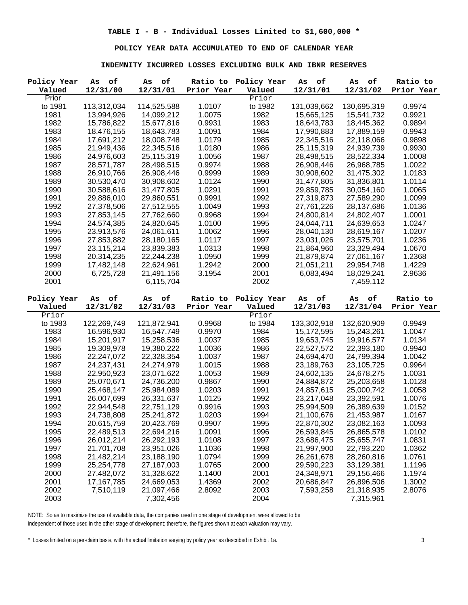**INDEMNITY INCURRED LOSSES EXCLUDING BULK AND IBNR RESERVES**

| 12/31/00<br>12/31/01<br>Valued<br>12/31/01<br>12/31/02<br>Valued<br>Prior Year<br>Prior Year<br>Prior<br>Prior<br>to 1981<br>113,312,034<br>114,525,588<br>1.0107<br>to 1982<br>131,039,662<br>130,695,319<br>0.9974<br>1981<br>1.0075<br>1982<br>13,994,926<br>14,099,212<br>15,665,125<br>15,541,732<br>0.9921<br>1982<br>0.9931<br>1983<br>0.9894<br>15,786,822<br>15,677,816<br>18,643,783<br>18,445,362<br>1983<br>1.0091<br>1984<br>0.9943<br>18,476,155<br>18,643,783<br>17,990,883<br>17,889,159<br>1984<br>1985<br>17,691,212<br>18,008,748<br>1.0179<br>22,345,516<br>22,118,066<br>0.9898<br>1985<br>1.0180<br>1986<br>24,939,739<br>0.9930<br>21,949,436<br>22,345,516<br>25,115,319<br>1986<br>1987<br>24,976,603<br>1.0056<br>28,522,334<br>1.0008<br>25,115,319<br>28,498,515<br>1987<br>0.9974<br>1988<br>1.0022<br>28,571,787<br>26,968,785<br>28,498,515<br>26,908,446<br>1988<br>1989<br>1.0183<br>26,910,766<br>26,908,446<br>0.9999<br>30,908,602<br>31,475,302<br>1989<br>30,530,470<br>1990<br>1.0114<br>30,908,602<br>1.0124<br>31,477,805<br>31,836,801<br>1990<br>1.0291<br>1991<br>1.0065<br>30,588,616<br>31,477,805<br>29,859,785<br>30,054,160<br>1992<br>1991<br>0.9991<br>1.0099<br>29,886,010<br>29,860,551<br>27,319,873<br>27,589,290<br>1992<br>1993<br>1.0136<br>1.0049<br>28,137,686<br>27,378,506<br>27,512,555<br>27,761,226<br>1993<br>0.9968<br>1994<br>1.0001<br>24,800,814<br>24,802,407<br>27,853,145<br>27,762,660<br>1994<br>1995<br>1.0247<br>24,574,385<br>1.0100<br>24,639,653<br>24,820,645<br>24,044,711<br>1995<br>23,913,576<br>24,061,611<br>1.0062<br>1996<br>28,040,130<br>28,619,167<br>1.0207<br>1997<br>1.0236<br>1996<br>27,853,882<br>28,180,165<br>1.0117<br>23,031,026<br>23,575,701<br>1997<br>1998<br>1.0313<br>1.0670<br>23,115,214<br>23,839,383<br>21,864,960<br>23,329,494<br>1998<br>1.0950<br>1999<br>1.2368<br>20,314,235<br>21,879,874<br>27,061,167<br>22,244,238<br>1999<br>1.2942<br>2000<br>1.4229<br>17,482,148<br>22,624,961<br>21,051,211<br>29,954,748<br>6,725,728<br>2001<br>6,083,494<br>18,029,241<br>2.9636<br>2000<br>21,491,156<br>3.1954<br>2001<br>2002<br>6,115,704<br>7,459,112<br>Policy Year<br>Ratio to<br>Policy Year<br>As<br>оf<br>оf<br>Ratio to<br>As<br>оf<br>оf<br>As<br>As<br>12/31/02<br>12/31/03<br>Prior Year<br>12/31/03<br>12/31/04<br>Valued<br>Valued<br>Prior Year<br>Prior<br>Prior<br>to 1983<br>122,269,749<br>121,872,941<br>0.9968<br>to 1984<br>133,302,918<br>132,620,909<br>0.9949<br>1983<br>1984<br>1.0047<br>16,596,930<br>16,547,749<br>0.9970<br>15,172,595<br>15,243,261<br>1984<br>1985<br>1.0134<br>1.0037<br>15,201,917<br>15,258,536<br>19,653,745<br>19,916,577<br>1985<br>1.0036<br>1986<br>22,393,180<br>0.9940<br>19,309,978<br>19,380,222<br>22,527,572<br>1986<br>1987<br>1.0042<br>22,247,072<br>22,328,354<br>1.0037<br>24,694,470<br>24,799,394<br>1987<br>24,237,431<br>1.0015<br>1988<br>23,189,763<br>0.9964<br>24,274,979<br>23,105,725<br>1988<br>1.0053<br>1989<br>22,950,923<br>23,071,622<br>24,602,135<br>24,678,275<br>1.0031<br>1989<br>24,736,200<br>0.9867<br>1990<br>25,203,658<br>1.0128<br>25,070,671<br>24,884,872<br>1991<br>1990<br>1.0203<br>25,000,742<br>1.0058<br>25,468,147<br>25,984,089<br>24,857,615<br>1991<br>1.0125<br>1992<br>1.0076<br>26,331,637<br>23,217,048<br>23,392,591<br>26,007,699<br>1992<br>22,944,548<br>22,751,129<br>0.9916<br>1993<br>25,994,509<br>26,389,639<br>1.0152<br>1993<br>24,738,808<br>1.0203<br>1994<br>21,100,676<br>1.0167<br>25,241,872<br>21,453,987<br>1994<br>20,615,759<br>20,423,769<br>0.9907<br>1995<br>22,870,302<br>23,082,163<br>1.0093<br>1995<br>1996<br>22,489,513<br>22,694,216<br>1.0091<br>26,593,845<br>26,865,578<br>1.0102<br>1997<br>1996<br>26,012,214<br>26,292,193<br>1.0108<br>23,686,475<br>25,655,747<br>1.0831<br>1997<br>1998<br>1.0362<br>21,701,708<br>23,951,026<br>1.1036<br>21,997,900<br>22,793,220<br>1999<br>1998<br>21,482,214<br>23,188,190<br>1.0794<br>26,261,678<br>28,260,816<br>1.0761<br>1999<br>25,254,778<br>27,187,003<br>1.0765<br>2000<br>29,590,223<br>33,129,381<br>1.1196<br>2000<br>1.1400<br>2001<br>24,348,971<br>1.1974<br>27,482,072<br>31,328,622<br>29,156,466<br>2001<br>1.4369<br>2002<br>20,686,847<br>26,896,506<br>1.3002<br>17, 167, 785<br>24,669,053<br>2002<br>2003<br>7,510,119<br>2.8092<br>21,318,935<br>2.8076<br>21,097,466<br>7,593,258 | Policy Year | оf<br>As | $\circ \texttt{f}$<br>As | Ratio to Policy Year | оf<br>As | of<br>As | Ratio to |
|----------------------------------------------------------------------------------------------------------------------------------------------------------------------------------------------------------------------------------------------------------------------------------------------------------------------------------------------------------------------------------------------------------------------------------------------------------------------------------------------------------------------------------------------------------------------------------------------------------------------------------------------------------------------------------------------------------------------------------------------------------------------------------------------------------------------------------------------------------------------------------------------------------------------------------------------------------------------------------------------------------------------------------------------------------------------------------------------------------------------------------------------------------------------------------------------------------------------------------------------------------------------------------------------------------------------------------------------------------------------------------------------------------------------------------------------------------------------------------------------------------------------------------------------------------------------------------------------------------------------------------------------------------------------------------------------------------------------------------------------------------------------------------------------------------------------------------------------------------------------------------------------------------------------------------------------------------------------------------------------------------------------------------------------------------------------------------------------------------------------------------------------------------------------------------------------------------------------------------------------------------------------------------------------------------------------------------------------------------------------------------------------------------------------------------------------------------------------------------------------------------------------------------------------------------------------------------------------------------------------------------------------------------------------------------------------------------------------------------------------------------------------------------------------------------------------------------------------------------------------------------------------------------------------------------------------------------------------------------------------------------------------------------------------------------------------------------------------------------------------------------------------------------------------------------------------------------------------------------------------------------------------------------------------------------------------------------------------------------------------------------------------------------------------------------------------------------------------------------------------------------------------------------------------------------------------------------------------------------------------------------------------------------------------------------------------------------------------------------------------------------------------------------------------------------------------------------------------------------------------------------------------------------------------------------------------------------------------------------------------------------------------------------------------------------------------------------------------------------------------------------------------------------------------------------------------------------------------------------------------------------------------------------------------------------------------------------------------------------------------------------------------------------------------------|-------------|----------|--------------------------|----------------------|----------|----------|----------|
|                                                                                                                                                                                                                                                                                                                                                                                                                                                                                                                                                                                                                                                                                                                                                                                                                                                                                                                                                                                                                                                                                                                                                                                                                                                                                                                                                                                                                                                                                                                                                                                                                                                                                                                                                                                                                                                                                                                                                                                                                                                                                                                                                                                                                                                                                                                                                                                                                                                                                                                                                                                                                                                                                                                                                                                                                                                                                                                                                                                                                                                                                                                                                                                                                                                                                                                                                                                                                                                                                                                                                                                                                                                                                                                                                                                                                                                                                                                                                                                                                                                                                                                                                                                                                                                                                                                                                                                                                            |             |          |                          |                      |          |          |          |
|                                                                                                                                                                                                                                                                                                                                                                                                                                                                                                                                                                                                                                                                                                                                                                                                                                                                                                                                                                                                                                                                                                                                                                                                                                                                                                                                                                                                                                                                                                                                                                                                                                                                                                                                                                                                                                                                                                                                                                                                                                                                                                                                                                                                                                                                                                                                                                                                                                                                                                                                                                                                                                                                                                                                                                                                                                                                                                                                                                                                                                                                                                                                                                                                                                                                                                                                                                                                                                                                                                                                                                                                                                                                                                                                                                                                                                                                                                                                                                                                                                                                                                                                                                                                                                                                                                                                                                                                                            |             |          |                          |                      |          |          |          |
|                                                                                                                                                                                                                                                                                                                                                                                                                                                                                                                                                                                                                                                                                                                                                                                                                                                                                                                                                                                                                                                                                                                                                                                                                                                                                                                                                                                                                                                                                                                                                                                                                                                                                                                                                                                                                                                                                                                                                                                                                                                                                                                                                                                                                                                                                                                                                                                                                                                                                                                                                                                                                                                                                                                                                                                                                                                                                                                                                                                                                                                                                                                                                                                                                                                                                                                                                                                                                                                                                                                                                                                                                                                                                                                                                                                                                                                                                                                                                                                                                                                                                                                                                                                                                                                                                                                                                                                                                            |             |          |                          |                      |          |          |          |
|                                                                                                                                                                                                                                                                                                                                                                                                                                                                                                                                                                                                                                                                                                                                                                                                                                                                                                                                                                                                                                                                                                                                                                                                                                                                                                                                                                                                                                                                                                                                                                                                                                                                                                                                                                                                                                                                                                                                                                                                                                                                                                                                                                                                                                                                                                                                                                                                                                                                                                                                                                                                                                                                                                                                                                                                                                                                                                                                                                                                                                                                                                                                                                                                                                                                                                                                                                                                                                                                                                                                                                                                                                                                                                                                                                                                                                                                                                                                                                                                                                                                                                                                                                                                                                                                                                                                                                                                                            |             |          |                          |                      |          |          |          |
|                                                                                                                                                                                                                                                                                                                                                                                                                                                                                                                                                                                                                                                                                                                                                                                                                                                                                                                                                                                                                                                                                                                                                                                                                                                                                                                                                                                                                                                                                                                                                                                                                                                                                                                                                                                                                                                                                                                                                                                                                                                                                                                                                                                                                                                                                                                                                                                                                                                                                                                                                                                                                                                                                                                                                                                                                                                                                                                                                                                                                                                                                                                                                                                                                                                                                                                                                                                                                                                                                                                                                                                                                                                                                                                                                                                                                                                                                                                                                                                                                                                                                                                                                                                                                                                                                                                                                                                                                            |             |          |                          |                      |          |          |          |
|                                                                                                                                                                                                                                                                                                                                                                                                                                                                                                                                                                                                                                                                                                                                                                                                                                                                                                                                                                                                                                                                                                                                                                                                                                                                                                                                                                                                                                                                                                                                                                                                                                                                                                                                                                                                                                                                                                                                                                                                                                                                                                                                                                                                                                                                                                                                                                                                                                                                                                                                                                                                                                                                                                                                                                                                                                                                                                                                                                                                                                                                                                                                                                                                                                                                                                                                                                                                                                                                                                                                                                                                                                                                                                                                                                                                                                                                                                                                                                                                                                                                                                                                                                                                                                                                                                                                                                                                                            |             |          |                          |                      |          |          |          |
|                                                                                                                                                                                                                                                                                                                                                                                                                                                                                                                                                                                                                                                                                                                                                                                                                                                                                                                                                                                                                                                                                                                                                                                                                                                                                                                                                                                                                                                                                                                                                                                                                                                                                                                                                                                                                                                                                                                                                                                                                                                                                                                                                                                                                                                                                                                                                                                                                                                                                                                                                                                                                                                                                                                                                                                                                                                                                                                                                                                                                                                                                                                                                                                                                                                                                                                                                                                                                                                                                                                                                                                                                                                                                                                                                                                                                                                                                                                                                                                                                                                                                                                                                                                                                                                                                                                                                                                                                            |             |          |                          |                      |          |          |          |
|                                                                                                                                                                                                                                                                                                                                                                                                                                                                                                                                                                                                                                                                                                                                                                                                                                                                                                                                                                                                                                                                                                                                                                                                                                                                                                                                                                                                                                                                                                                                                                                                                                                                                                                                                                                                                                                                                                                                                                                                                                                                                                                                                                                                                                                                                                                                                                                                                                                                                                                                                                                                                                                                                                                                                                                                                                                                                                                                                                                                                                                                                                                                                                                                                                                                                                                                                                                                                                                                                                                                                                                                                                                                                                                                                                                                                                                                                                                                                                                                                                                                                                                                                                                                                                                                                                                                                                                                                            |             |          |                          |                      |          |          |          |
|                                                                                                                                                                                                                                                                                                                                                                                                                                                                                                                                                                                                                                                                                                                                                                                                                                                                                                                                                                                                                                                                                                                                                                                                                                                                                                                                                                                                                                                                                                                                                                                                                                                                                                                                                                                                                                                                                                                                                                                                                                                                                                                                                                                                                                                                                                                                                                                                                                                                                                                                                                                                                                                                                                                                                                                                                                                                                                                                                                                                                                                                                                                                                                                                                                                                                                                                                                                                                                                                                                                                                                                                                                                                                                                                                                                                                                                                                                                                                                                                                                                                                                                                                                                                                                                                                                                                                                                                                            |             |          |                          |                      |          |          |          |
|                                                                                                                                                                                                                                                                                                                                                                                                                                                                                                                                                                                                                                                                                                                                                                                                                                                                                                                                                                                                                                                                                                                                                                                                                                                                                                                                                                                                                                                                                                                                                                                                                                                                                                                                                                                                                                                                                                                                                                                                                                                                                                                                                                                                                                                                                                                                                                                                                                                                                                                                                                                                                                                                                                                                                                                                                                                                                                                                                                                                                                                                                                                                                                                                                                                                                                                                                                                                                                                                                                                                                                                                                                                                                                                                                                                                                                                                                                                                                                                                                                                                                                                                                                                                                                                                                                                                                                                                                            |             |          |                          |                      |          |          |          |
|                                                                                                                                                                                                                                                                                                                                                                                                                                                                                                                                                                                                                                                                                                                                                                                                                                                                                                                                                                                                                                                                                                                                                                                                                                                                                                                                                                                                                                                                                                                                                                                                                                                                                                                                                                                                                                                                                                                                                                                                                                                                                                                                                                                                                                                                                                                                                                                                                                                                                                                                                                                                                                                                                                                                                                                                                                                                                                                                                                                                                                                                                                                                                                                                                                                                                                                                                                                                                                                                                                                                                                                                                                                                                                                                                                                                                                                                                                                                                                                                                                                                                                                                                                                                                                                                                                                                                                                                                            |             |          |                          |                      |          |          |          |
|                                                                                                                                                                                                                                                                                                                                                                                                                                                                                                                                                                                                                                                                                                                                                                                                                                                                                                                                                                                                                                                                                                                                                                                                                                                                                                                                                                                                                                                                                                                                                                                                                                                                                                                                                                                                                                                                                                                                                                                                                                                                                                                                                                                                                                                                                                                                                                                                                                                                                                                                                                                                                                                                                                                                                                                                                                                                                                                                                                                                                                                                                                                                                                                                                                                                                                                                                                                                                                                                                                                                                                                                                                                                                                                                                                                                                                                                                                                                                                                                                                                                                                                                                                                                                                                                                                                                                                                                                            |             |          |                          |                      |          |          |          |
|                                                                                                                                                                                                                                                                                                                                                                                                                                                                                                                                                                                                                                                                                                                                                                                                                                                                                                                                                                                                                                                                                                                                                                                                                                                                                                                                                                                                                                                                                                                                                                                                                                                                                                                                                                                                                                                                                                                                                                                                                                                                                                                                                                                                                                                                                                                                                                                                                                                                                                                                                                                                                                                                                                                                                                                                                                                                                                                                                                                                                                                                                                                                                                                                                                                                                                                                                                                                                                                                                                                                                                                                                                                                                                                                                                                                                                                                                                                                                                                                                                                                                                                                                                                                                                                                                                                                                                                                                            |             |          |                          |                      |          |          |          |
|                                                                                                                                                                                                                                                                                                                                                                                                                                                                                                                                                                                                                                                                                                                                                                                                                                                                                                                                                                                                                                                                                                                                                                                                                                                                                                                                                                                                                                                                                                                                                                                                                                                                                                                                                                                                                                                                                                                                                                                                                                                                                                                                                                                                                                                                                                                                                                                                                                                                                                                                                                                                                                                                                                                                                                                                                                                                                                                                                                                                                                                                                                                                                                                                                                                                                                                                                                                                                                                                                                                                                                                                                                                                                                                                                                                                                                                                                                                                                                                                                                                                                                                                                                                                                                                                                                                                                                                                                            |             |          |                          |                      |          |          |          |
|                                                                                                                                                                                                                                                                                                                                                                                                                                                                                                                                                                                                                                                                                                                                                                                                                                                                                                                                                                                                                                                                                                                                                                                                                                                                                                                                                                                                                                                                                                                                                                                                                                                                                                                                                                                                                                                                                                                                                                                                                                                                                                                                                                                                                                                                                                                                                                                                                                                                                                                                                                                                                                                                                                                                                                                                                                                                                                                                                                                                                                                                                                                                                                                                                                                                                                                                                                                                                                                                                                                                                                                                                                                                                                                                                                                                                                                                                                                                                                                                                                                                                                                                                                                                                                                                                                                                                                                                                            |             |          |                          |                      |          |          |          |
|                                                                                                                                                                                                                                                                                                                                                                                                                                                                                                                                                                                                                                                                                                                                                                                                                                                                                                                                                                                                                                                                                                                                                                                                                                                                                                                                                                                                                                                                                                                                                                                                                                                                                                                                                                                                                                                                                                                                                                                                                                                                                                                                                                                                                                                                                                                                                                                                                                                                                                                                                                                                                                                                                                                                                                                                                                                                                                                                                                                                                                                                                                                                                                                                                                                                                                                                                                                                                                                                                                                                                                                                                                                                                                                                                                                                                                                                                                                                                                                                                                                                                                                                                                                                                                                                                                                                                                                                                            |             |          |                          |                      |          |          |          |
|                                                                                                                                                                                                                                                                                                                                                                                                                                                                                                                                                                                                                                                                                                                                                                                                                                                                                                                                                                                                                                                                                                                                                                                                                                                                                                                                                                                                                                                                                                                                                                                                                                                                                                                                                                                                                                                                                                                                                                                                                                                                                                                                                                                                                                                                                                                                                                                                                                                                                                                                                                                                                                                                                                                                                                                                                                                                                                                                                                                                                                                                                                                                                                                                                                                                                                                                                                                                                                                                                                                                                                                                                                                                                                                                                                                                                                                                                                                                                                                                                                                                                                                                                                                                                                                                                                                                                                                                                            |             |          |                          |                      |          |          |          |
|                                                                                                                                                                                                                                                                                                                                                                                                                                                                                                                                                                                                                                                                                                                                                                                                                                                                                                                                                                                                                                                                                                                                                                                                                                                                                                                                                                                                                                                                                                                                                                                                                                                                                                                                                                                                                                                                                                                                                                                                                                                                                                                                                                                                                                                                                                                                                                                                                                                                                                                                                                                                                                                                                                                                                                                                                                                                                                                                                                                                                                                                                                                                                                                                                                                                                                                                                                                                                                                                                                                                                                                                                                                                                                                                                                                                                                                                                                                                                                                                                                                                                                                                                                                                                                                                                                                                                                                                                            |             |          |                          |                      |          |          |          |
|                                                                                                                                                                                                                                                                                                                                                                                                                                                                                                                                                                                                                                                                                                                                                                                                                                                                                                                                                                                                                                                                                                                                                                                                                                                                                                                                                                                                                                                                                                                                                                                                                                                                                                                                                                                                                                                                                                                                                                                                                                                                                                                                                                                                                                                                                                                                                                                                                                                                                                                                                                                                                                                                                                                                                                                                                                                                                                                                                                                                                                                                                                                                                                                                                                                                                                                                                                                                                                                                                                                                                                                                                                                                                                                                                                                                                                                                                                                                                                                                                                                                                                                                                                                                                                                                                                                                                                                                                            |             |          |                          |                      |          |          |          |
|                                                                                                                                                                                                                                                                                                                                                                                                                                                                                                                                                                                                                                                                                                                                                                                                                                                                                                                                                                                                                                                                                                                                                                                                                                                                                                                                                                                                                                                                                                                                                                                                                                                                                                                                                                                                                                                                                                                                                                                                                                                                                                                                                                                                                                                                                                                                                                                                                                                                                                                                                                                                                                                                                                                                                                                                                                                                                                                                                                                                                                                                                                                                                                                                                                                                                                                                                                                                                                                                                                                                                                                                                                                                                                                                                                                                                                                                                                                                                                                                                                                                                                                                                                                                                                                                                                                                                                                                                            |             |          |                          |                      |          |          |          |
|                                                                                                                                                                                                                                                                                                                                                                                                                                                                                                                                                                                                                                                                                                                                                                                                                                                                                                                                                                                                                                                                                                                                                                                                                                                                                                                                                                                                                                                                                                                                                                                                                                                                                                                                                                                                                                                                                                                                                                                                                                                                                                                                                                                                                                                                                                                                                                                                                                                                                                                                                                                                                                                                                                                                                                                                                                                                                                                                                                                                                                                                                                                                                                                                                                                                                                                                                                                                                                                                                                                                                                                                                                                                                                                                                                                                                                                                                                                                                                                                                                                                                                                                                                                                                                                                                                                                                                                                                            |             |          |                          |                      |          |          |          |
|                                                                                                                                                                                                                                                                                                                                                                                                                                                                                                                                                                                                                                                                                                                                                                                                                                                                                                                                                                                                                                                                                                                                                                                                                                                                                                                                                                                                                                                                                                                                                                                                                                                                                                                                                                                                                                                                                                                                                                                                                                                                                                                                                                                                                                                                                                                                                                                                                                                                                                                                                                                                                                                                                                                                                                                                                                                                                                                                                                                                                                                                                                                                                                                                                                                                                                                                                                                                                                                                                                                                                                                                                                                                                                                                                                                                                                                                                                                                                                                                                                                                                                                                                                                                                                                                                                                                                                                                                            |             |          |                          |                      |          |          |          |
|                                                                                                                                                                                                                                                                                                                                                                                                                                                                                                                                                                                                                                                                                                                                                                                                                                                                                                                                                                                                                                                                                                                                                                                                                                                                                                                                                                                                                                                                                                                                                                                                                                                                                                                                                                                                                                                                                                                                                                                                                                                                                                                                                                                                                                                                                                                                                                                                                                                                                                                                                                                                                                                                                                                                                                                                                                                                                                                                                                                                                                                                                                                                                                                                                                                                                                                                                                                                                                                                                                                                                                                                                                                                                                                                                                                                                                                                                                                                                                                                                                                                                                                                                                                                                                                                                                                                                                                                                            |             |          |                          |                      |          |          |          |
|                                                                                                                                                                                                                                                                                                                                                                                                                                                                                                                                                                                                                                                                                                                                                                                                                                                                                                                                                                                                                                                                                                                                                                                                                                                                                                                                                                                                                                                                                                                                                                                                                                                                                                                                                                                                                                                                                                                                                                                                                                                                                                                                                                                                                                                                                                                                                                                                                                                                                                                                                                                                                                                                                                                                                                                                                                                                                                                                                                                                                                                                                                                                                                                                                                                                                                                                                                                                                                                                                                                                                                                                                                                                                                                                                                                                                                                                                                                                                                                                                                                                                                                                                                                                                                                                                                                                                                                                                            |             |          |                          |                      |          |          |          |
|                                                                                                                                                                                                                                                                                                                                                                                                                                                                                                                                                                                                                                                                                                                                                                                                                                                                                                                                                                                                                                                                                                                                                                                                                                                                                                                                                                                                                                                                                                                                                                                                                                                                                                                                                                                                                                                                                                                                                                                                                                                                                                                                                                                                                                                                                                                                                                                                                                                                                                                                                                                                                                                                                                                                                                                                                                                                                                                                                                                                                                                                                                                                                                                                                                                                                                                                                                                                                                                                                                                                                                                                                                                                                                                                                                                                                                                                                                                                                                                                                                                                                                                                                                                                                                                                                                                                                                                                                            |             |          |                          |                      |          |          |          |
|                                                                                                                                                                                                                                                                                                                                                                                                                                                                                                                                                                                                                                                                                                                                                                                                                                                                                                                                                                                                                                                                                                                                                                                                                                                                                                                                                                                                                                                                                                                                                                                                                                                                                                                                                                                                                                                                                                                                                                                                                                                                                                                                                                                                                                                                                                                                                                                                                                                                                                                                                                                                                                                                                                                                                                                                                                                                                                                                                                                                                                                                                                                                                                                                                                                                                                                                                                                                                                                                                                                                                                                                                                                                                                                                                                                                                                                                                                                                                                                                                                                                                                                                                                                                                                                                                                                                                                                                                            |             |          |                          |                      |          |          |          |
|                                                                                                                                                                                                                                                                                                                                                                                                                                                                                                                                                                                                                                                                                                                                                                                                                                                                                                                                                                                                                                                                                                                                                                                                                                                                                                                                                                                                                                                                                                                                                                                                                                                                                                                                                                                                                                                                                                                                                                                                                                                                                                                                                                                                                                                                                                                                                                                                                                                                                                                                                                                                                                                                                                                                                                                                                                                                                                                                                                                                                                                                                                                                                                                                                                                                                                                                                                                                                                                                                                                                                                                                                                                                                                                                                                                                                                                                                                                                                                                                                                                                                                                                                                                                                                                                                                                                                                                                                            |             |          |                          |                      |          |          |          |
|                                                                                                                                                                                                                                                                                                                                                                                                                                                                                                                                                                                                                                                                                                                                                                                                                                                                                                                                                                                                                                                                                                                                                                                                                                                                                                                                                                                                                                                                                                                                                                                                                                                                                                                                                                                                                                                                                                                                                                                                                                                                                                                                                                                                                                                                                                                                                                                                                                                                                                                                                                                                                                                                                                                                                                                                                                                                                                                                                                                                                                                                                                                                                                                                                                                                                                                                                                                                                                                                                                                                                                                                                                                                                                                                                                                                                                                                                                                                                                                                                                                                                                                                                                                                                                                                                                                                                                                                                            |             |          |                          |                      |          |          |          |
|                                                                                                                                                                                                                                                                                                                                                                                                                                                                                                                                                                                                                                                                                                                                                                                                                                                                                                                                                                                                                                                                                                                                                                                                                                                                                                                                                                                                                                                                                                                                                                                                                                                                                                                                                                                                                                                                                                                                                                                                                                                                                                                                                                                                                                                                                                                                                                                                                                                                                                                                                                                                                                                                                                                                                                                                                                                                                                                                                                                                                                                                                                                                                                                                                                                                                                                                                                                                                                                                                                                                                                                                                                                                                                                                                                                                                                                                                                                                                                                                                                                                                                                                                                                                                                                                                                                                                                                                                            |             |          |                          |                      |          |          |          |
|                                                                                                                                                                                                                                                                                                                                                                                                                                                                                                                                                                                                                                                                                                                                                                                                                                                                                                                                                                                                                                                                                                                                                                                                                                                                                                                                                                                                                                                                                                                                                                                                                                                                                                                                                                                                                                                                                                                                                                                                                                                                                                                                                                                                                                                                                                                                                                                                                                                                                                                                                                                                                                                                                                                                                                                                                                                                                                                                                                                                                                                                                                                                                                                                                                                                                                                                                                                                                                                                                                                                                                                                                                                                                                                                                                                                                                                                                                                                                                                                                                                                                                                                                                                                                                                                                                                                                                                                                            |             |          |                          |                      |          |          |          |
|                                                                                                                                                                                                                                                                                                                                                                                                                                                                                                                                                                                                                                                                                                                                                                                                                                                                                                                                                                                                                                                                                                                                                                                                                                                                                                                                                                                                                                                                                                                                                                                                                                                                                                                                                                                                                                                                                                                                                                                                                                                                                                                                                                                                                                                                                                                                                                                                                                                                                                                                                                                                                                                                                                                                                                                                                                                                                                                                                                                                                                                                                                                                                                                                                                                                                                                                                                                                                                                                                                                                                                                                                                                                                                                                                                                                                                                                                                                                                                                                                                                                                                                                                                                                                                                                                                                                                                                                                            |             |          |                          |                      |          |          |          |
|                                                                                                                                                                                                                                                                                                                                                                                                                                                                                                                                                                                                                                                                                                                                                                                                                                                                                                                                                                                                                                                                                                                                                                                                                                                                                                                                                                                                                                                                                                                                                                                                                                                                                                                                                                                                                                                                                                                                                                                                                                                                                                                                                                                                                                                                                                                                                                                                                                                                                                                                                                                                                                                                                                                                                                                                                                                                                                                                                                                                                                                                                                                                                                                                                                                                                                                                                                                                                                                                                                                                                                                                                                                                                                                                                                                                                                                                                                                                                                                                                                                                                                                                                                                                                                                                                                                                                                                                                            |             |          |                          |                      |          |          |          |
|                                                                                                                                                                                                                                                                                                                                                                                                                                                                                                                                                                                                                                                                                                                                                                                                                                                                                                                                                                                                                                                                                                                                                                                                                                                                                                                                                                                                                                                                                                                                                                                                                                                                                                                                                                                                                                                                                                                                                                                                                                                                                                                                                                                                                                                                                                                                                                                                                                                                                                                                                                                                                                                                                                                                                                                                                                                                                                                                                                                                                                                                                                                                                                                                                                                                                                                                                                                                                                                                                                                                                                                                                                                                                                                                                                                                                                                                                                                                                                                                                                                                                                                                                                                                                                                                                                                                                                                                                            |             |          |                          |                      |          |          |          |
|                                                                                                                                                                                                                                                                                                                                                                                                                                                                                                                                                                                                                                                                                                                                                                                                                                                                                                                                                                                                                                                                                                                                                                                                                                                                                                                                                                                                                                                                                                                                                                                                                                                                                                                                                                                                                                                                                                                                                                                                                                                                                                                                                                                                                                                                                                                                                                                                                                                                                                                                                                                                                                                                                                                                                                                                                                                                                                                                                                                                                                                                                                                                                                                                                                                                                                                                                                                                                                                                                                                                                                                                                                                                                                                                                                                                                                                                                                                                                                                                                                                                                                                                                                                                                                                                                                                                                                                                                            |             |          |                          |                      |          |          |          |
|                                                                                                                                                                                                                                                                                                                                                                                                                                                                                                                                                                                                                                                                                                                                                                                                                                                                                                                                                                                                                                                                                                                                                                                                                                                                                                                                                                                                                                                                                                                                                                                                                                                                                                                                                                                                                                                                                                                                                                                                                                                                                                                                                                                                                                                                                                                                                                                                                                                                                                                                                                                                                                                                                                                                                                                                                                                                                                                                                                                                                                                                                                                                                                                                                                                                                                                                                                                                                                                                                                                                                                                                                                                                                                                                                                                                                                                                                                                                                                                                                                                                                                                                                                                                                                                                                                                                                                                                                            |             |          |                          |                      |          |          |          |
|                                                                                                                                                                                                                                                                                                                                                                                                                                                                                                                                                                                                                                                                                                                                                                                                                                                                                                                                                                                                                                                                                                                                                                                                                                                                                                                                                                                                                                                                                                                                                                                                                                                                                                                                                                                                                                                                                                                                                                                                                                                                                                                                                                                                                                                                                                                                                                                                                                                                                                                                                                                                                                                                                                                                                                                                                                                                                                                                                                                                                                                                                                                                                                                                                                                                                                                                                                                                                                                                                                                                                                                                                                                                                                                                                                                                                                                                                                                                                                                                                                                                                                                                                                                                                                                                                                                                                                                                                            |             |          |                          |                      |          |          |          |
|                                                                                                                                                                                                                                                                                                                                                                                                                                                                                                                                                                                                                                                                                                                                                                                                                                                                                                                                                                                                                                                                                                                                                                                                                                                                                                                                                                                                                                                                                                                                                                                                                                                                                                                                                                                                                                                                                                                                                                                                                                                                                                                                                                                                                                                                                                                                                                                                                                                                                                                                                                                                                                                                                                                                                                                                                                                                                                                                                                                                                                                                                                                                                                                                                                                                                                                                                                                                                                                                                                                                                                                                                                                                                                                                                                                                                                                                                                                                                                                                                                                                                                                                                                                                                                                                                                                                                                                                                            |             |          |                          |                      |          |          |          |
|                                                                                                                                                                                                                                                                                                                                                                                                                                                                                                                                                                                                                                                                                                                                                                                                                                                                                                                                                                                                                                                                                                                                                                                                                                                                                                                                                                                                                                                                                                                                                                                                                                                                                                                                                                                                                                                                                                                                                                                                                                                                                                                                                                                                                                                                                                                                                                                                                                                                                                                                                                                                                                                                                                                                                                                                                                                                                                                                                                                                                                                                                                                                                                                                                                                                                                                                                                                                                                                                                                                                                                                                                                                                                                                                                                                                                                                                                                                                                                                                                                                                                                                                                                                                                                                                                                                                                                                                                            |             |          |                          |                      |          |          |          |
|                                                                                                                                                                                                                                                                                                                                                                                                                                                                                                                                                                                                                                                                                                                                                                                                                                                                                                                                                                                                                                                                                                                                                                                                                                                                                                                                                                                                                                                                                                                                                                                                                                                                                                                                                                                                                                                                                                                                                                                                                                                                                                                                                                                                                                                                                                                                                                                                                                                                                                                                                                                                                                                                                                                                                                                                                                                                                                                                                                                                                                                                                                                                                                                                                                                                                                                                                                                                                                                                                                                                                                                                                                                                                                                                                                                                                                                                                                                                                                                                                                                                                                                                                                                                                                                                                                                                                                                                                            |             |          |                          |                      |          |          |          |
|                                                                                                                                                                                                                                                                                                                                                                                                                                                                                                                                                                                                                                                                                                                                                                                                                                                                                                                                                                                                                                                                                                                                                                                                                                                                                                                                                                                                                                                                                                                                                                                                                                                                                                                                                                                                                                                                                                                                                                                                                                                                                                                                                                                                                                                                                                                                                                                                                                                                                                                                                                                                                                                                                                                                                                                                                                                                                                                                                                                                                                                                                                                                                                                                                                                                                                                                                                                                                                                                                                                                                                                                                                                                                                                                                                                                                                                                                                                                                                                                                                                                                                                                                                                                                                                                                                                                                                                                                            |             |          |                          |                      |          |          |          |
|                                                                                                                                                                                                                                                                                                                                                                                                                                                                                                                                                                                                                                                                                                                                                                                                                                                                                                                                                                                                                                                                                                                                                                                                                                                                                                                                                                                                                                                                                                                                                                                                                                                                                                                                                                                                                                                                                                                                                                                                                                                                                                                                                                                                                                                                                                                                                                                                                                                                                                                                                                                                                                                                                                                                                                                                                                                                                                                                                                                                                                                                                                                                                                                                                                                                                                                                                                                                                                                                                                                                                                                                                                                                                                                                                                                                                                                                                                                                                                                                                                                                                                                                                                                                                                                                                                                                                                                                                            |             |          |                          |                      |          |          |          |
|                                                                                                                                                                                                                                                                                                                                                                                                                                                                                                                                                                                                                                                                                                                                                                                                                                                                                                                                                                                                                                                                                                                                                                                                                                                                                                                                                                                                                                                                                                                                                                                                                                                                                                                                                                                                                                                                                                                                                                                                                                                                                                                                                                                                                                                                                                                                                                                                                                                                                                                                                                                                                                                                                                                                                                                                                                                                                                                                                                                                                                                                                                                                                                                                                                                                                                                                                                                                                                                                                                                                                                                                                                                                                                                                                                                                                                                                                                                                                                                                                                                                                                                                                                                                                                                                                                                                                                                                                            |             |          |                          |                      |          |          |          |
|                                                                                                                                                                                                                                                                                                                                                                                                                                                                                                                                                                                                                                                                                                                                                                                                                                                                                                                                                                                                                                                                                                                                                                                                                                                                                                                                                                                                                                                                                                                                                                                                                                                                                                                                                                                                                                                                                                                                                                                                                                                                                                                                                                                                                                                                                                                                                                                                                                                                                                                                                                                                                                                                                                                                                                                                                                                                                                                                                                                                                                                                                                                                                                                                                                                                                                                                                                                                                                                                                                                                                                                                                                                                                                                                                                                                                                                                                                                                                                                                                                                                                                                                                                                                                                                                                                                                                                                                                            |             |          |                          |                      |          |          |          |
|                                                                                                                                                                                                                                                                                                                                                                                                                                                                                                                                                                                                                                                                                                                                                                                                                                                                                                                                                                                                                                                                                                                                                                                                                                                                                                                                                                                                                                                                                                                                                                                                                                                                                                                                                                                                                                                                                                                                                                                                                                                                                                                                                                                                                                                                                                                                                                                                                                                                                                                                                                                                                                                                                                                                                                                                                                                                                                                                                                                                                                                                                                                                                                                                                                                                                                                                                                                                                                                                                                                                                                                                                                                                                                                                                                                                                                                                                                                                                                                                                                                                                                                                                                                                                                                                                                                                                                                                                            |             |          |                          |                      |          |          |          |
|                                                                                                                                                                                                                                                                                                                                                                                                                                                                                                                                                                                                                                                                                                                                                                                                                                                                                                                                                                                                                                                                                                                                                                                                                                                                                                                                                                                                                                                                                                                                                                                                                                                                                                                                                                                                                                                                                                                                                                                                                                                                                                                                                                                                                                                                                                                                                                                                                                                                                                                                                                                                                                                                                                                                                                                                                                                                                                                                                                                                                                                                                                                                                                                                                                                                                                                                                                                                                                                                                                                                                                                                                                                                                                                                                                                                                                                                                                                                                                                                                                                                                                                                                                                                                                                                                                                                                                                                                            |             |          |                          |                      |          |          |          |
|                                                                                                                                                                                                                                                                                                                                                                                                                                                                                                                                                                                                                                                                                                                                                                                                                                                                                                                                                                                                                                                                                                                                                                                                                                                                                                                                                                                                                                                                                                                                                                                                                                                                                                                                                                                                                                                                                                                                                                                                                                                                                                                                                                                                                                                                                                                                                                                                                                                                                                                                                                                                                                                                                                                                                                                                                                                                                                                                                                                                                                                                                                                                                                                                                                                                                                                                                                                                                                                                                                                                                                                                                                                                                                                                                                                                                                                                                                                                                                                                                                                                                                                                                                                                                                                                                                                                                                                                                            |             |          |                          |                      |          |          |          |
|                                                                                                                                                                                                                                                                                                                                                                                                                                                                                                                                                                                                                                                                                                                                                                                                                                                                                                                                                                                                                                                                                                                                                                                                                                                                                                                                                                                                                                                                                                                                                                                                                                                                                                                                                                                                                                                                                                                                                                                                                                                                                                                                                                                                                                                                                                                                                                                                                                                                                                                                                                                                                                                                                                                                                                                                                                                                                                                                                                                                                                                                                                                                                                                                                                                                                                                                                                                                                                                                                                                                                                                                                                                                                                                                                                                                                                                                                                                                                                                                                                                                                                                                                                                                                                                                                                                                                                                                                            |             |          |                          |                      |          |          |          |
|                                                                                                                                                                                                                                                                                                                                                                                                                                                                                                                                                                                                                                                                                                                                                                                                                                                                                                                                                                                                                                                                                                                                                                                                                                                                                                                                                                                                                                                                                                                                                                                                                                                                                                                                                                                                                                                                                                                                                                                                                                                                                                                                                                                                                                                                                                                                                                                                                                                                                                                                                                                                                                                                                                                                                                                                                                                                                                                                                                                                                                                                                                                                                                                                                                                                                                                                                                                                                                                                                                                                                                                                                                                                                                                                                                                                                                                                                                                                                                                                                                                                                                                                                                                                                                                                                                                                                                                                                            |             |          |                          |                      |          |          |          |
|                                                                                                                                                                                                                                                                                                                                                                                                                                                                                                                                                                                                                                                                                                                                                                                                                                                                                                                                                                                                                                                                                                                                                                                                                                                                                                                                                                                                                                                                                                                                                                                                                                                                                                                                                                                                                                                                                                                                                                                                                                                                                                                                                                                                                                                                                                                                                                                                                                                                                                                                                                                                                                                                                                                                                                                                                                                                                                                                                                                                                                                                                                                                                                                                                                                                                                                                                                                                                                                                                                                                                                                                                                                                                                                                                                                                                                                                                                                                                                                                                                                                                                                                                                                                                                                                                                                                                                                                                            |             |          |                          |                      |          |          |          |
| 2004<br>2003<br>7,315,961<br>7,302,456                                                                                                                                                                                                                                                                                                                                                                                                                                                                                                                                                                                                                                                                                                                                                                                                                                                                                                                                                                                                                                                                                                                                                                                                                                                                                                                                                                                                                                                                                                                                                                                                                                                                                                                                                                                                                                                                                                                                                                                                                                                                                                                                                                                                                                                                                                                                                                                                                                                                                                                                                                                                                                                                                                                                                                                                                                                                                                                                                                                                                                                                                                                                                                                                                                                                                                                                                                                                                                                                                                                                                                                                                                                                                                                                                                                                                                                                                                                                                                                                                                                                                                                                                                                                                                                                                                                                                                                     |             |          |                          |                      |          |          |          |

NOTE: So as to maximize the use of available data, the companies used in one stage of development were allowed to be independent of those used in the other stage of development; therefore, the figures shown at each valuation may vary.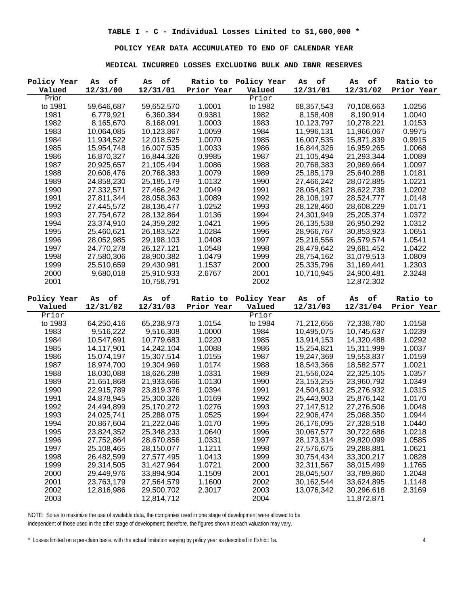## **MEDICAL INCURRED LOSSES EXCLUDING BULK AND IBNR RESERVES**

| Policy Year  | of<br>As                 | of<br>As                 | Ratio to         | Policy Year  | As<br>оf                 | оf<br>As                 | Ratio to         |
|--------------|--------------------------|--------------------------|------------------|--------------|--------------------------|--------------------------|------------------|
| Valued       | 12/31/00                 | 12/31/01                 | Prior Year       | Valued       | 12/31/01                 | 12/31/02                 | Prior Year       |
| Prior        |                          |                          |                  | Prior        |                          |                          |                  |
| to 1981      | 59,646,687               | 59,652,570               | 1.0001           | to 1982      | 68,357,543               | 70,108,663               | 1.0256           |
| 1981         | 6,779,921                | 6,360,384                | 0.9381           | 1982         | 8,158,408                | 8,190,914                | 1.0040           |
| 1982         | 8,165,670                | 8,168,091                | 1.0003           | 1983         | 10,123,797               | 10,278,221               | 1.0153           |
| 1983         | 10,064,085               | 10,123,867               | 1.0059           | 1984         | 11,996,131               | 11,966,067               | 0.9975           |
| 1984         | 11,934,522               | 12,018,525               | 1.0070           | 1985         | 16,007,535               | 15,871,839               | 0.9915           |
| 1985         | 15,954,748               | 16,007,535               | 1.0033           | 1986         | 16,844,326               | 16,959,265               | 1.0068           |
| 1986         | 16,870,327               | 16,844,326               | 0.9985           | 1987         | 21,105,494               | 21,293,344               | 1.0089           |
| 1987         | 20,925,657               | 21,105,494               | 1.0086           | 1988         | 20,768,383               | 20,969,664               | 1.0097           |
| 1988         | 20,606,476               | 20,768,383               | 1.0079           | 1989         | 25,185,179               | 25,640,288               | 1.0181           |
| 1989         | 24,858,230               | 25,185,179               | 1.0132           | 1990         | 27,466,242               | 28,072,885               | 1.0221           |
| 1990         | 27,332,571               | 27,466,242               | 1.0049           | 1991         | 28,054,821               | 28,622,738               | 1.0202           |
| 1991         | 27,811,344               | 28,058,363               | 1.0089           | 1992         | 28,108,197               | 28,524,777               | 1.0148           |
| 1992         | 27,445,572               | 28,136,477               | 1.0252           | 1993         | 28,128,460               | 28,608,229               | 1.0171           |
| 1993         | 27,754,672               | 28,132,864               | 1.0136           | 1994         | 24,301,949               | 25,205,374               | 1.0372           |
| 1994         | 23,374,910               | 24,359,282               | 1.0421           | 1995         | 26,135,538               | 26,950,292               | 1.0312           |
| 1995         | 25,460,621               | 26,183,522               | 1.0284           | 1996         | 28,966,767               | 30,853,923               | 1.0651           |
| 1996         | 28,052,985               | 29,198,103               | 1.0408           | 1997         | 25,216,556               | 26,579,574               | 1.0541           |
| 1997         | 24,770,278               | 26,127,121               | 1.0548           | 1998         | 28,479,642               | 29,681,452               | 1.0422           |
| 1998         | 27,580,306               | 28,900,382               | 1.0479           | 1999         | 28,754,162               | 31,079,513               | 1.0809           |
| 1999         | 25,510,659               | 29,430,981               | 1.1537           | 2000         | 25,335,796               | 31,169,441               | 1.2303           |
| 2000         | 9,680,018                | 25,910,933               | 2.6767           | 2001         | 10,710,945               | 24,900,481               | 2.3248           |
| 2001         |                          | 10,758,791               |                  | 2002         |                          | 12,872,302               |                  |
|              |                          |                          |                  |              |                          |                          |                  |
|              |                          |                          |                  |              |                          |                          |                  |
| Policy Year  | As<br>оf                 | оf<br>As                 | Ratio to         | Policy Year  | As<br>оf                 | оf<br>As                 | Ratio to         |
| Valued       | 12/31/02                 | 12/31/03                 | Prior Year       | Valued       | 12/31/03                 | 12/31/04                 | Prior Year       |
| Prior        |                          |                          |                  | Prior        |                          |                          |                  |
| to 1983      | 64,250,416               | 65,238,973               | 1.0154           | to 1984      | 71,212,656               | 72,338,780               | 1.0158           |
| 1983         | 9,516,222                | 9,516,308                | 1.0000           | 1984         | 10,495,075               | 10,745,637               | 1.0239           |
| 1984         | 10,547,691               | 10,779,683               | 1.0220           | 1985         | 13,914,153               | 14,320,488               | 1.0292           |
| 1985         | 14,117,901               | 14,242,104               | 1.0088           | 1986         | 15,254,821               | 15,311,999               | 1.0037           |
| 1986         | 15,074,197               | 15,307,514               | 1.0155           | 1987         | 19,247,369               | 19,553,837               | 1.0159           |
| 1987         | 18,974,700               | 19,304,969               | 1.0174           | 1988         | 18,543,366               | 18,582,577               | 1.0021           |
| 1988         | 18,030,088               | 18,626,288               | 1.0331           | 1989         | 21,556,024               | 22,325,105               | 1.0357           |
| 1989         | 21,651,868               | 21,933,666               | 1.0130           | 1990         | 23,153,255               | 23,960,792               | 1.0349           |
| 1990         | 22,915,789               | 23,819,376               | 1.0394           | 1991         | 24,504,812               | 25,276,932               | 1.0315           |
| 1991         | 24,878,945               | 25,300,326               | 1.0169           | 1992         | 25,443,903               | 25,876,142               | 1.0170           |
| 1992         | 24,494,899               | 25,170,272               | 1.0276           | 1993         | 27, 147, 512             | 27,276,506               | 1.0048           |
| 1993         | 24,025,741               | 25,288,075               | 1.0525           | 1994         | 22,906,474               | 25,068,350               | 1.0944           |
| 1994         | 20,867,604               | 21,222,046               | 1.0170           | 1995         | 26,176,095               | 27,328,518               | 1.0440           |
| 1995         | 23,824,352               | 25,348,233               | 1.0640           | 1996         | 30,067,577               | 30,722,686               | 1.0218           |
| 1996         | 27,752,864               | 28,670,856               | 1.0331           | 1997         | 28,173,314               | 29,820,099               | 1.0585           |
| 1997         | 25,108,465               | 28,150,077               | 1.1211           | 1998         | 27,576,675               | 29,288,881               | 1.0621           |
| 1998         | 26,482,599               | 27,577,495               | 1.0413           | 1999         | 30,754,434               | 33,300,217               | 1.0828           |
| 1999         | 29,314,505               | 31,427,964               | 1.0721           | 2000         | 32,311,567               | 38,015,499               | 1.1765           |
| 2000         | 29,449,976               | 33,894,904               | 1.1509           | 2001         | 28,045,507               | 33,789,860               | 1.2048           |
| 2001<br>2002 | 23,763,179<br>12,816,986 | 27,564,579<br>29,500,702 | 1.1600<br>2.3017 | 2002<br>2003 | 30,162,544<br>13,076,342 | 33,624,895<br>30,296,618 | 1.1148<br>2.3169 |

NOTE: So as to maximize the use of available data, the companies used in one stage of development were allowed to be independent of those used in the other stage of development; therefore, the figures shown at each valuation may vary.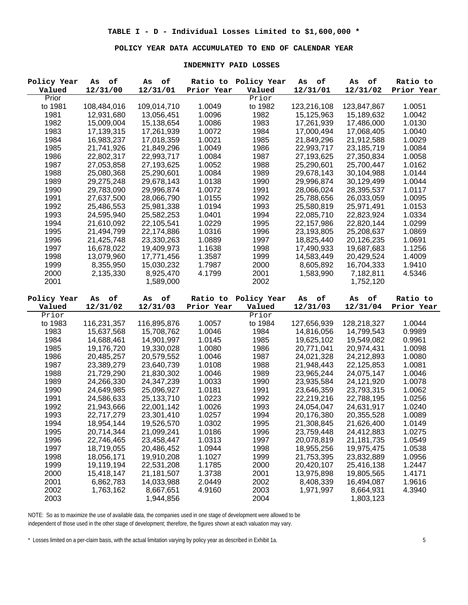#### **INDEMNITY PAID LOSSES**

| Policy Year  | оf<br>As               | $\circ \texttt{f}$<br>As |                  | Ratio to Policy Year | оf<br>As               | оf<br>As                | Ratio to         |
|--------------|------------------------|--------------------------|------------------|----------------------|------------------------|-------------------------|------------------|
| Valued       | 12/31/00               | 12/31/01                 | Prior Year       | Valued               | 12/31/01               | 12/31/02                | Prior Year       |
| Prior        |                        |                          |                  | Prior                |                        |                         |                  |
| to 1981      | 108,484,016            | 109,014,710              | 1.0049           | to 1982              | 123,216,108            | 123,847,867             | 1.0051           |
| 1981         | 12,931,680             | 13,056,451               | 1.0096           | 1982                 | 15,125,963             | 15,189,632              | 1.0042           |
| 1982         | 15,009,004             | 15,138,654               | 1.0086           | 1983                 | 17,261,939             | 17,486,000              | 1.0130           |
| 1983         | 17,139,315             | 17,261,939               | 1.0072           | 1984                 | 17,000,494             | 17,068,405              | 1.0040           |
| 1984         | 16,983,237             | 17,018,359               | 1.0021           | 1985                 | 21,849,296             | 21,912,588              | 1.0029           |
| 1985         | 21,741,926             | 21,849,296               | 1.0049           | 1986                 | 22,993,717             | 23,185,719              | 1.0084           |
| 1986         | 22,802,317             | 22,993,717               | 1.0084           | 1987                 | 27,193,625             | 27,350,834              | 1.0058           |
| 1987         | 27,053,858             | 27,193,625               | 1.0052           | 1988                 | 25,290,601             | 25,700,447              | 1.0162           |
| 1988         | 25,080,368             | 25,290,601               | 1.0084           | 1989                 | 29,678,143             | 30,104,988              | 1.0144           |
| 1989         | 29,275,248             | 29,678,143               | 1.0138           | 1990                 | 29,996,874             | 30,129,499              | 1.0044           |
| 1990         | 29,783,090             | 29,996,874               | 1.0072           | 1991                 | 28,066,024             | 28,395,537              | 1.0117           |
| 1991         | 27,637,500             | 28,066,790               | 1.0155           | 1992                 | 25,788,656             | 26,033,059              | 1.0095           |
| 1992         | 25,486,553             | 25,981,338               | 1.0194           | 1993                 | 25,580,819             | 25,971,491              | 1.0153           |
| 1993         | 24,595,940             | 25,582,253               | 1.0401           | 1994                 | 22,085,710             | 22,823,924              | 1.0334           |
| 1994         | 21,610,092             | 22,105,541               | 1.0229           | 1995                 | 22,157,986             | 22,820,144              | 1.0299           |
| 1995         | 21,494,799             | 22,174,886               | 1.0316           | 1996                 | 23,193,805             | 25,208,637              | 1.0869           |
| 1996         | 21,425,748             | 23,330,263               | 1.0889           | 1997                 | 18,825,440             | 20,126,235              | 1.0691           |
| 1997         | 16,678,022             | 19,409,973               | 1.1638           | 1998                 | 17,490,933             | 19,687,683              | 1.1256           |
| 1998         | 13,079,960             | 17,771,456               | 1.3587           | 1999                 | 14,583,449             | 20,429,524              | 1.4009           |
| 1999         | 8,355,950              | 15,030,232               | 1.7987           | 2000                 | 8,605,892              | 16,704,333              | 1.9410           |
| 2000         | 2,135,330              | 8,925,470                | 4.1799           | 2001                 | 1,583,990              | 7,182,811               | 4.5346           |
| 2001         |                        | 1,589,000                |                  | 2002                 |                        | 1,752,120               |                  |
|              |                        |                          |                  |                      |                        |                         |                  |
|              |                        |                          |                  |                      |                        |                         |                  |
|              |                        |                          |                  |                      |                        |                         |                  |
| Policy Year  | оf<br>As               | оf<br>As                 | Ratio to         | Policy Year          | As<br>оf               | оf<br>As                | Ratio to         |
| Valued       | 12/31/02               | 12/31/03                 | Prior Year       | Valued               | 12/31/03               | 12/31/04                | Prior Year       |
| Prior        |                        |                          |                  | Prior                |                        |                         |                  |
| to 1983      | 116,231,357            | 116,895,876              | 1.0057           | to 1984              | 127,656,939            | 128,218,327             | 1.0044           |
| 1983         | 15,637,568             | 15,708,762               | 1.0046           | 1984                 | 14,816,056             | 14,799,543              | 0.9989           |
| 1984         | 14,688,461             | 14,901,997               | 1.0145           | 1985                 | 19,625,102             | 19,549,082              | 0.9961           |
| 1985         | 19,176,720             | 19,330,028               | 1.0080           | 1986                 | 20,771,041             | 20,974,431              | 1.0098           |
| 1986         | 20,485,257             | 20,579,552               | 1.0046           | 1987                 | 24,021,328             | 24,212,893              | 1.0080           |
| 1987         | 23,389,279             | 23,640,739               | 1.0108           | 1988                 | 21,948,443             | 22,125,853              | 1.0081           |
| 1988         | 21,729,290             | 21,830,302               | 1.0046           | 1989                 | 23,965,244             | 24,075,147              | 1.0046           |
| 1989         | 24,266,330             | 24,347,239               | 1.0033           | 1990                 | 23,935,584             | 24,121,920              | 1.0078           |
| 1990         | 24,649,985             | 25,096,927               | 1.0181           | 1991                 | 23,646,359             | 23,793,315              | 1.0062           |
| 1991         | 24,586,633             | 25,133,710               | 1.0223           | 1992                 | 22,219,216             | 22,788,195              | 1.0256           |
| 1992         | 21,943,666             | 22,001,142               | 1.0026           | 1993                 | 24,054,047             | 24,631,917              | 1.0240           |
| 1993         | 22,717,279             | 23,301,410               | 1.0257           | 1994                 | 20,176,380             | 20,355,528              | 1.0089           |
| 1994         | 18,954,144             | 19,526,570               | 1.0302           | 1995                 | 21,308,845             | 21,626,400              | 1.0149           |
| 1995         | 20,714,344             | 21,099,241               | 1.0186           | 1996                 | 23,759,448             | 24,412,883              | 1.0275           |
| 1996         | 22,746,465             | 23,458,447               | 1.0313           | 1997                 | 20,078,819             | 21, 181, 735            | 1.0549           |
| 1997         | 18,719,055             | 20,486,452               | 1.0944           | 1998                 | 18,955,256             | 19,975,475              | 1.0538           |
| 1998         | 18,056,171             | 19,910,208               | 1.1027           | 1999                 | 21,753,395             | 23,832,889              | 1.0956           |
| 1999         | 19,119,194             | 22,531,208               | 1.1785           | 2000                 | 20,420,107             | 25,416,138              | 1.2447           |
| 2000         | 15,418,147             | 21,181,507               | 1.3738           | 2001                 | 13,975,898             | 19,805,565              | 1.4171           |
| 2001<br>2002 | 6,862,783<br>1,763,162 | 14,033,988<br>8,667,651  | 2.0449<br>4.9160 | 2002<br>2003         | 8,408,339<br>1,971,997 | 16,494,087<br>8,664,931 | 1.9616<br>4.3940 |

NOTE: So as to maximize the use of available data, the companies used in one stage of development were allowed to be independent of those used in the other stage of development; therefore, the figures shown at each valuation may vary.